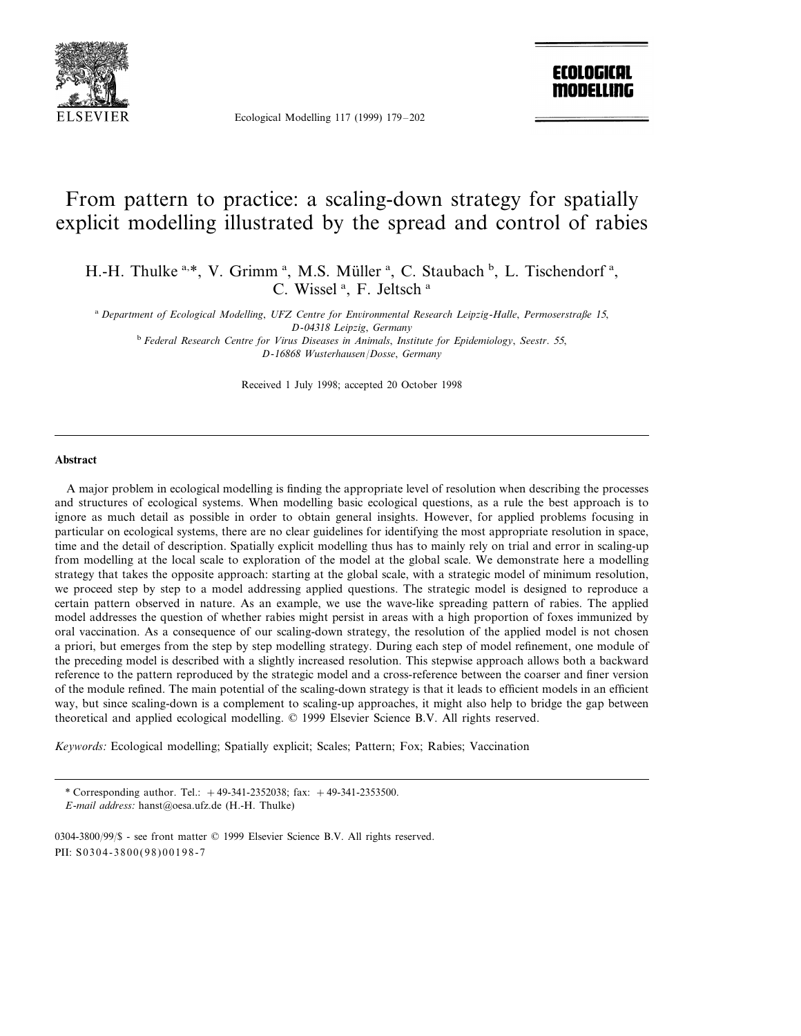

Ecological Modelling 117 (1999) 179–202

# ECOLOGICAL monfi i II

# From pattern to practice: a scaling-down strategy for spatially explicit modelling illustrated by the spread and control of rabies

H.-H. Thulke a,\*, V. Grimm <sup>a</sup>, M.S. Müller <sup>a</sup>, C. Staubach <sup>b</sup>, L. Tischendorf <sup>a</sup>, C. Wissel<sup>a</sup>, F. Jeltsch<sup>a</sup>

<sup>a</sup> Department of Ecological Modelling, UFZ Centre for Environmental Research Leipzig-Halle, Permoserstraße 15, *D*-04318 *Leipzig*, *Germany*

<sup>b</sup> *Federal Research Centre for Virus Diseases in Animals*, *Institute for Epidemiology*, *Seestr*. <sup>55</sup>, *D*-16868 *Wusterhausen*/*Dosse*, *Germany*

Received 1 July 1998; accepted 20 October 1998

### **Abstract**

A major problem in ecological modelling is finding the appropriate level of resolution when describing the processes and structures of ecological systems. When modelling basic ecological questions, as a rule the best approach is to ignore as much detail as possible in order to obtain general insights. However, for applied problems focusing in particular on ecological systems, there are no clear guidelines for identifying the most appropriate resolution in space, time and the detail of description. Spatially explicit modelling thus has to mainly rely on trial and error in scaling-up from modelling at the local scale to exploration of the model at the global scale. We demonstrate here a modelling strategy that takes the opposite approach: starting at the global scale, with a strategic model of minimum resolution, we proceed step by step to a model addressing applied questions. The strategic model is designed to reproduce a certain pattern observed in nature. As an example, we use the wave-like spreading pattern of rabies. The applied model addresses the question of whether rabies might persist in areas with a high proportion of foxes immunized by oral vaccination. As a consequence of our scaling-down strategy, the resolution of the applied model is not chosen a priori, but emerges from the step by step modelling strategy. During each step of model refinement, one module of the preceding model is described with a slightly increased resolution. This stepwise approach allows both a backward reference to the pattern reproduced by the strategic model and a cross-reference between the coarser and finer version of the module refined. The main potential of the scaling-down strategy is that it leads to efficient models in an efficient way, but since scaling-down is a complement to scaling-up approaches, it might also help to bridge the gap between theoretical and applied ecological modelling. © 1999 Elsevier Science B.V. All rights reserved.

*Keywords*: Ecological modelling; Spatially explicit; Scales; Pattern; Fox; Rabies; Vaccination

<sup>\*</sup> Corresponding author. Tel.:  $+49-341-2352038$ ; fax:  $+49-341-2353500$ .

*E*-*mail address*: hanst@oesa.ufz.de (H.-H. Thulke)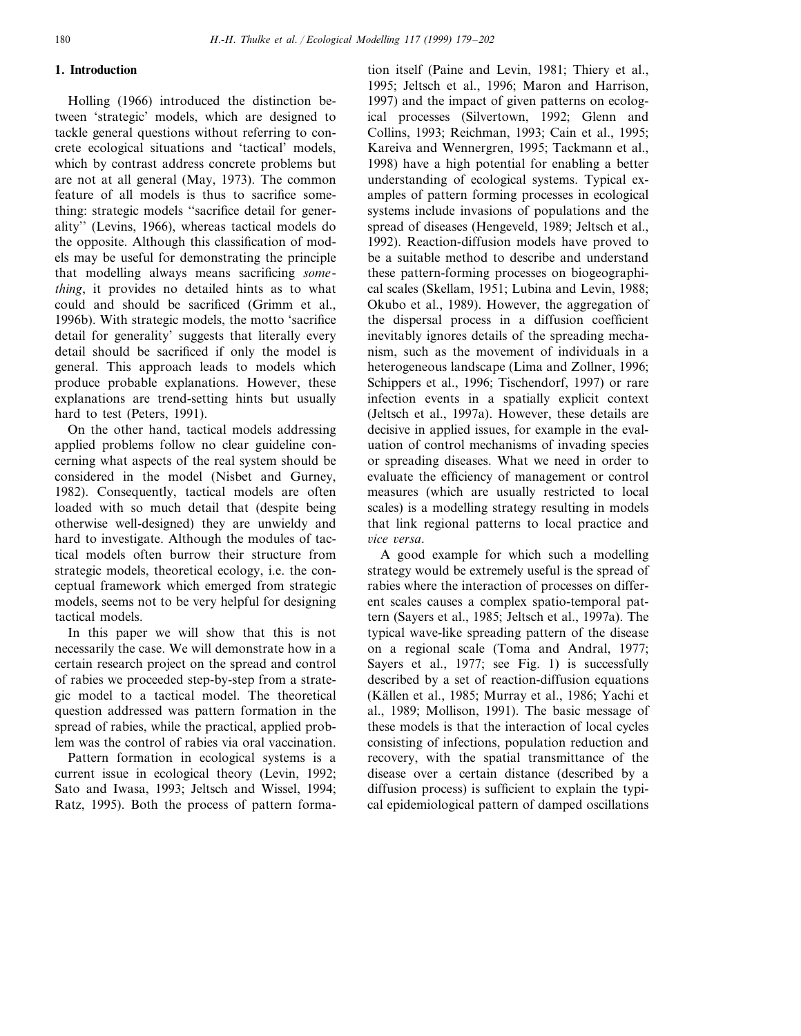### **1. Introduction**

Holling (1966) introduced the distinction between 'strategic' models, which are designed to tackle general questions without referring to concrete ecological situations and 'tactical' models, which by contrast address concrete problems but are not at all general (May, 1973). The common feature of all models is thus to sacrifice something: strategic models ''sacrifice detail for generality'' (Levins, 1966), whereas tactical models do the opposite. Although this classification of models may be useful for demonstrating the principle that modelling always means sacrificing *something*, it provides no detailed hints as to what could and should be sacrificed (Grimm et al., 1996b). With strategic models, the motto 'sacrifice detail for generality' suggests that literally every detail should be sacrificed if only the model is general. This approach leads to models which produce probable explanations. However, these explanations are trend-setting hints but usually hard to test (Peters, 1991).

On the other hand, tactical models addressing applied problems follow no clear guideline concerning what aspects of the real system should be considered in the model (Nisbet and Gurney, 1982). Consequently, tactical models are often loaded with so much detail that (despite being otherwise well-designed) they are unwieldy and hard to investigate. Although the modules of tactical models often burrow their structure from strategic models, theoretical ecology, i.e. the conceptual framework which emerged from strategic models, seems not to be very helpful for designing tactical models.

In this paper we will show that this is not necessarily the case. We will demonstrate how in a certain research project on the spread and control of rabies we proceeded step-by-step from a strategic model to a tactical model. The theoretical question addressed was pattern formation in the spread of rabies, while the practical, applied problem was the control of rabies via oral vaccination.

Pattern formation in ecological systems is a current issue in ecological theory (Levin, 1992; Sato and Iwasa, 1993; Jeltsch and Wissel, 1994; Ratz, 1995). Both the process of pattern formation itself (Paine and Levin, 1981; Thiery et al., 1995; Jeltsch et al., 1996; Maron and Harrison, 1997) and the impact of given patterns on ecological processes (Silvertown, 1992; Glenn and Collins, 1993; Reichman, 1993; Cain et al., 1995; Kareiva and Wennergren, 1995; Tackmann et al., 1998) have a high potential for enabling a better understanding of ecological systems. Typical examples of pattern forming processes in ecological systems include invasions of populations and the spread of diseases (Hengeveld, 1989; Jeltsch et al., 1992). Reaction-diffusion models have proved to be a suitable method to describe and understand these pattern-forming processes on biogeographical scales (Skellam, 1951; Lubina and Levin, 1988; Okubo et al., 1989). However, the aggregation of the dispersal process in a diffusion coefficient inevitably ignores details of the spreading mechanism, such as the movement of individuals in a heterogeneous landscape (Lima and Zollner, 1996; Schippers et al., 1996; Tischendorf, 1997) or rare infection events in a spatially explicit context (Jeltsch et al., 1997a). However, these details are decisive in applied issues, for example in the evaluation of control mechanisms of invading species or spreading diseases. What we need in order to evaluate the efficiency of management or control measures (which are usually restricted to local scales) is a modelling strategy resulting in models that link regional patterns to local practice and 6*ice* 6*ersa*.

A good example for which such a modelling strategy would be extremely useful is the spread of rabies where the interaction of processes on different scales causes a complex spatio-temporal pattern (Sayers et al., 1985; Jeltsch et al., 1997a). The typical wave-like spreading pattern of the disease on a regional scale (Toma and Andral, 1977; Sayers et al., 1977; see Fig. 1) is successfully described by a set of reaction-diffusion equations (Källen et al., 1985; Murray et al., 1986; Yachi et al., 1989; Mollison, 1991). The basic message of these models is that the interaction of local cycles consisting of infections, population reduction and recovery, with the spatial transmittance of the disease over a certain distance (described by a diffusion process) is sufficient to explain the typical epidemiological pattern of damped oscillations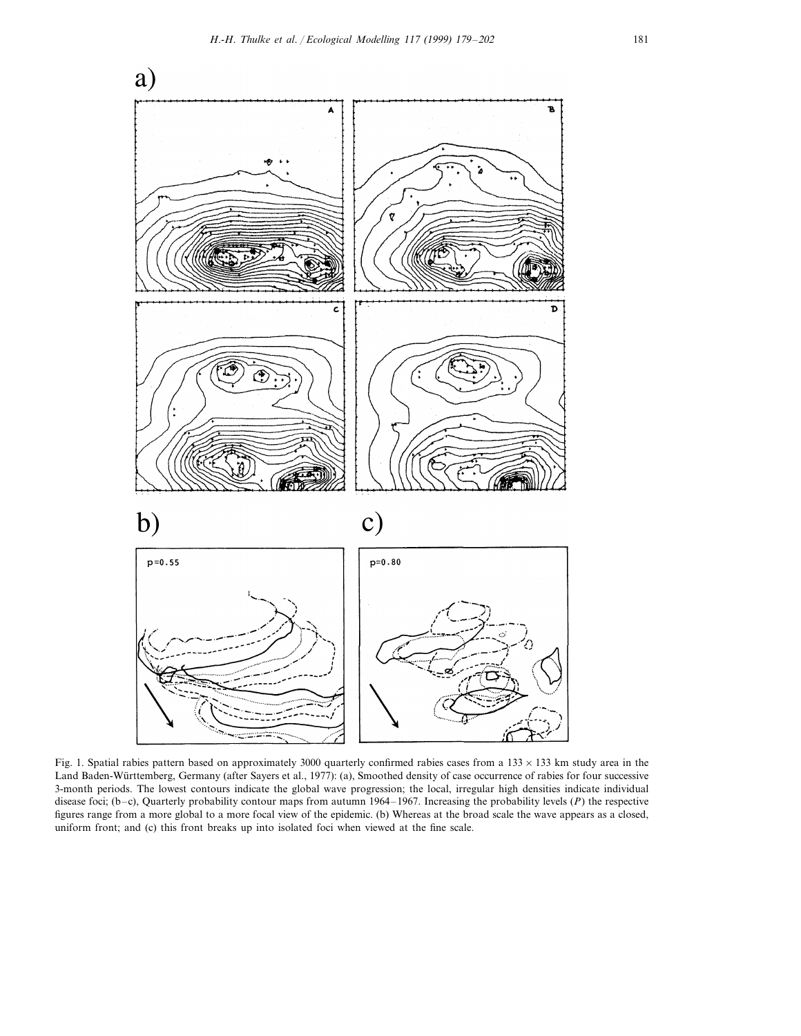

Fig. 1. Spatial rabies pattern based on approximately 3000 quarterly confirmed rabies cases from a  $133 \times 133$  km study area in the Land Baden-Württemberg, Germany (after Sayers et al., 1977): (a), Smoothed density of case occurrence of rabies for four successive 3-month periods. The lowest contours indicate the global wave progression; the local, irregular high densities indicate individual disease foci; (b–c), Quarterly probability contour maps from autumn 1964–1967. Increasing the probability levels (*P*) the respective figures range from a more global to a more focal view of the epidemic. (b) Whereas at the broad scale the wave appears as a closed, uniform front; and (c) this front breaks up into isolated foci when viewed at the fine scale.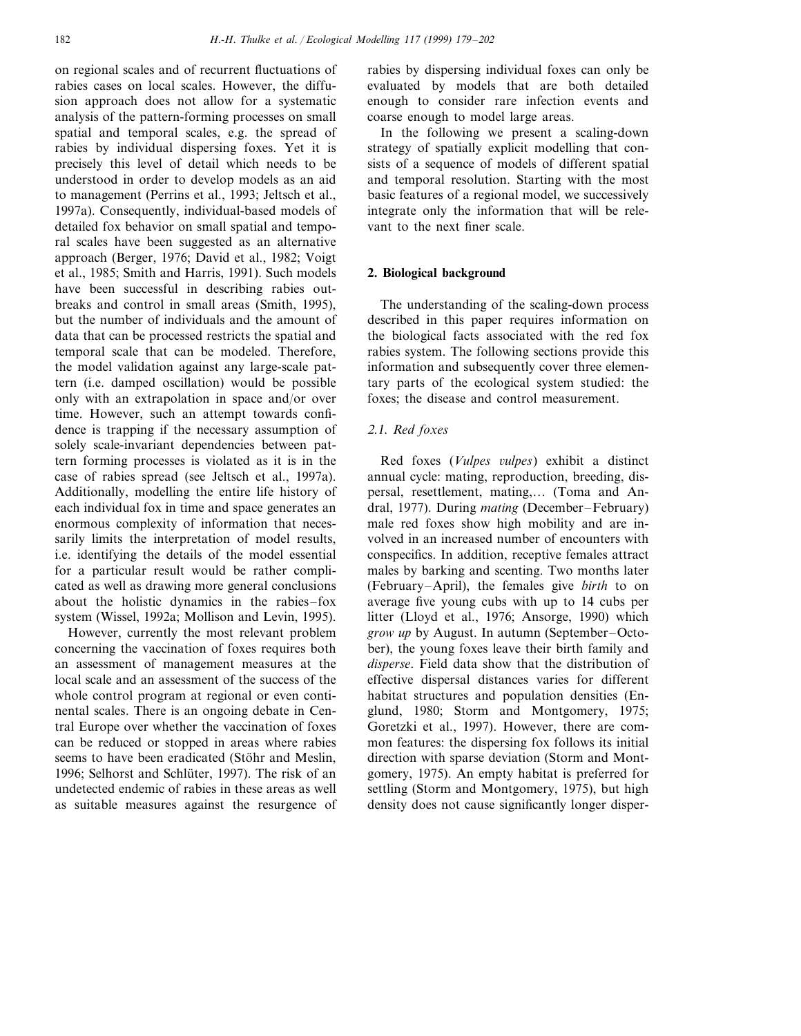on regional scales and of recurrent fluctuations of rabies cases on local scales. However, the diffusion approach does not allow for a systematic analysis of the pattern-forming processes on small spatial and temporal scales, e.g. the spread of rabies by individual dispersing foxes. Yet it is precisely this level of detail which needs to be understood in order to develop models as an aid to management (Perrins et al., 1993; Jeltsch et al., 1997a). Consequently, individual-based models of detailed fox behavior on small spatial and temporal scales have been suggested as an alternative approach (Berger, 1976; David et al., 1982; Voigt et al., 1985; Smith and Harris, 1991). Such models have been successful in describing rabies outbreaks and control in small areas (Smith, 1995), but the number of individuals and the amount of data that can be processed restricts the spatial and temporal scale that can be modeled. Therefore, the model validation against any large-scale pattern (i.e. damped oscillation) would be possible only with an extrapolation in space and/or over time. However, such an attempt towards confidence is trapping if the necessary assumption of solely scale-invariant dependencies between pattern forming processes is violated as it is in the case of rabies spread (see Jeltsch et al., 1997a). Additionally, modelling the entire life history of each individual fox in time and space generates an enormous complexity of information that necessarily limits the interpretation of model results, i.e. identifying the details of the model essential for a particular result would be rather complicated as well as drawing more general conclusions about the holistic dynamics in the rabies–fox system (Wissel, 1992a; Mollison and Levin, 1995).

However, currently the most relevant problem concerning the vaccination of foxes requires both an assessment of management measures at the local scale and an assessment of the success of the whole control program at regional or even continental scales. There is an ongoing debate in Central Europe over whether the vaccination of foxes can be reduced or stopped in areas where rabies seems to have been eradicated (Stöhr and Meslin, 1996; Selhorst and Schlüter, 1997). The risk of an undetected endemic of rabies in these areas as well as suitable measures against the resurgence of rabies by dispersing individual foxes can only be evaluated by models that are both detailed enough to consider rare infection events and coarse enough to model large areas.

In the following we present a scaling-down strategy of spatially explicit modelling that consists of a sequence of models of different spatial and temporal resolution. Starting with the most basic features of a regional model, we successively integrate only the information that will be relevant to the next finer scale.

### **2. Biological background**

The understanding of the scaling-down process described in this paper requires information on the biological facts associated with the red fox rabies system. The following sections provide this information and subsequently cover three elementary parts of the ecological system studied: the foxes; the disease and control measurement.

### <sup>2</sup>.1. *Red foxes*

Red foxes (*Vulpes vulpes*) exhibit a distinct annual cycle: mating, reproduction, breeding, dispersal, resettlement, mating,… (Toma and Andral, 1977). During *mating* (December–February) male red foxes show high mobility and are involved in an increased number of encounters with conspecifics. In addition, receptive females attract males by barking and scenting. Two months later (February–April), the females give *birth* to on average five young cubs with up to 14 cubs per litter (Lloyd et al., 1976; Ansorge, 1990) which *grow up* by August. In autumn (September–October), the young foxes leave their birth family and *disperse*. Field data show that the distribution of effective dispersal distances varies for different habitat structures and population densities (Englund, 1980; Storm and Montgomery, 1975; Goretzki et al., 1997). However, there are common features: the dispersing fox follows its initial direction with sparse deviation (Storm and Montgomery, 1975). An empty habitat is preferred for settling (Storm and Montgomery, 1975), but high density does not cause significantly longer disper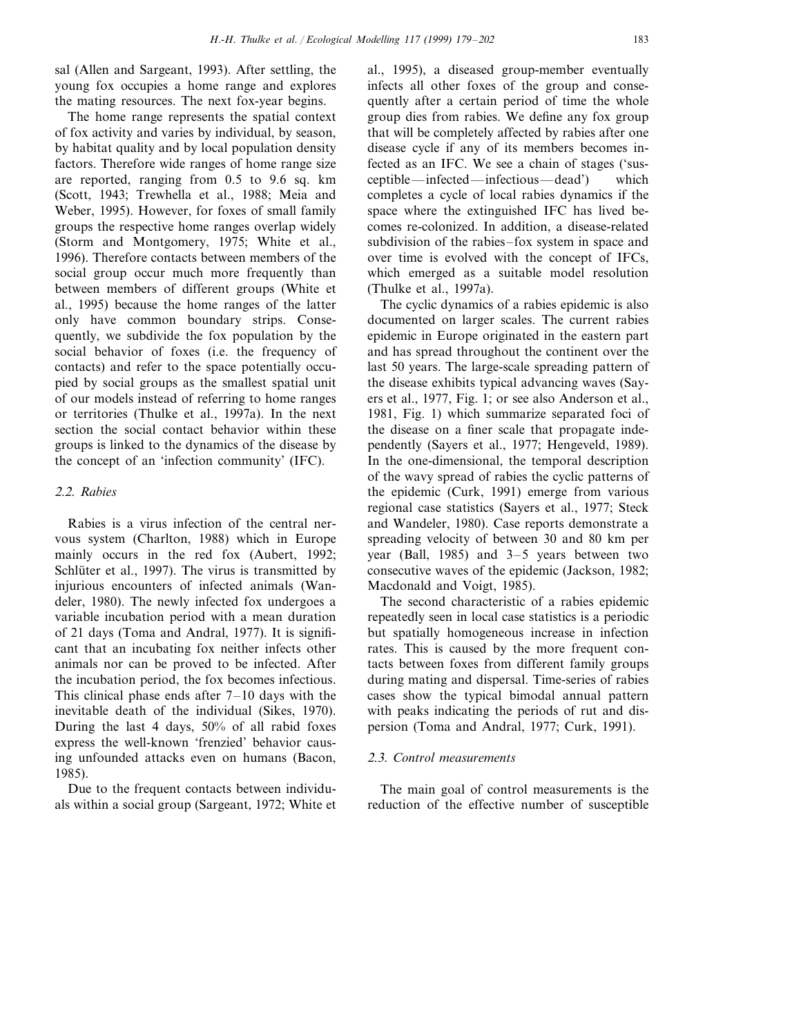sal (Allen and Sargeant, 1993). After settling, the young fox occupies a home range and explores the mating resources. The next fox-year begins.

The home range represents the spatial context of fox activity and varies by individual, by season, by habitat quality and by local population density factors. Therefore wide ranges of home range size are reported, ranging from 0.5 to 9.6 sq. km (Scott, 1943; Trewhella et al., 1988; Meia and Weber, 1995). However, for foxes of small family groups the respective home ranges overlap widely (Storm and Montgomery, 1975; White et al., 1996). Therefore contacts between members of the social group occur much more frequently than between members of different groups (White et al., 1995) because the home ranges of the latter only have common boundary strips. Consequently, we subdivide the fox population by the social behavior of foxes (i.e. the frequency of contacts) and refer to the space potentially occupied by social groups as the smallest spatial unit of our models instead of referring to home ranges or territories (Thulke et al., 1997a). In the next section the social contact behavior within these groups is linked to the dynamics of the disease by the concept of an 'infection community' (IFC).

### <sup>2</sup>.2. *Rabies*

Rabies is a virus infection of the central nervous system (Charlton, 1988) which in Europe mainly occurs in the red fox (Aubert, 1992; Schlüter et al., 1997). The virus is transmitted by injurious encounters of infected animals (Wandeler, 1980). The newly infected fox undergoes a variable incubation period with a mean duration of 21 days (Toma and Andral, 1977). It is significant that an incubating fox neither infects other animals nor can be proved to be infected. After the incubation period, the fox becomes infectious. This clinical phase ends after  $7-10$  days with the inevitable death of the individual (Sikes, 1970). During the last 4 days, 50% of all rabid foxes express the well-known 'frenzied' behavior causing unfounded attacks even on humans (Bacon, 1985).

Due to the frequent contacts between individuals within a social group (Sargeant, 1972; White et al., 1995), a diseased group-member eventually infects all other foxes of the group and consequently after a certain period of time the whole group dies from rabies. We define any fox group that will be completely affected by rabies after one disease cycle if any of its members becomes infected as an IFC. We see a chain of stages ('susceptible—infected—infectious—dead') which completes a cycle of local rabies dynamics if the space where the extinguished IFC has lived becomes re-colonized. In addition, a disease-related subdivision of the rabies–fox system in space and over time is evolved with the concept of IFCs, which emerged as a suitable model resolution (Thulke et al., 1997a).

The cyclic dynamics of a rabies epidemic is also documented on larger scales. The current rabies epidemic in Europe originated in the eastern part and has spread throughout the continent over the last 50 years. The large-scale spreading pattern of the disease exhibits typical advancing waves (Sayers et al., 1977, Fig. 1; or see also Anderson et al., 1981, Fig. 1) which summarize separated foci of the disease on a finer scale that propagate independently (Sayers et al., 1977; Hengeveld, 1989). In the one-dimensional, the temporal description of the wavy spread of rabies the cyclic patterns of the epidemic (Curk, 1991) emerge from various regional case statistics (Sayers et al., 1977; Steck and Wandeler, 1980). Case reports demonstrate a spreading velocity of between 30 and 80 km per year (Ball, 1985) and 3–5 years between two consecutive waves of the epidemic (Jackson, 1982; Macdonald and Voigt, 1985).

The second characteristic of a rabies epidemic repeatedly seen in local case statistics is a periodic but spatially homogeneous increase in infection rates. This is caused by the more frequent contacts between foxes from different family groups during mating and dispersal. Time-series of rabies cases show the typical bimodal annual pattern with peaks indicating the periods of rut and dispersion (Toma and Andral, 1977; Curk, 1991).

### <sup>2</sup>.3. *Control measurements*

The main goal of control measurements is the reduction of the effective number of susceptible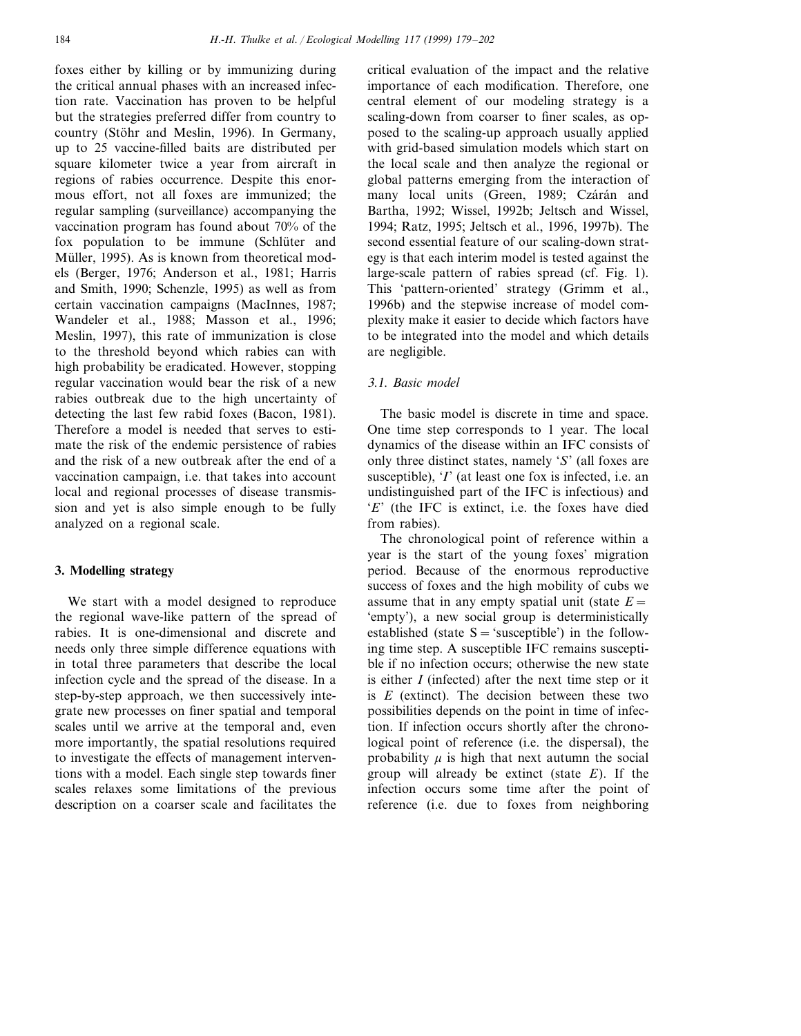foxes either by killing or by immunizing during the critical annual phases with an increased infection rate. Vaccination has proven to be helpful but the strategies preferred differ from country to country (Stöhr and Meslin, 1996). In Germany, up to 25 vaccine-filled baits are distributed per square kilometer twice a year from aircraft in regions of rabies occurrence. Despite this enormous effort, not all foxes are immunized; the regular sampling (surveillance) accompanying the vaccination program has found about 70% of the fox population to be immune (Schlüter and Müller, 1995). As is known from theoretical models (Berger, 1976; Anderson et al., 1981; Harris and Smith, 1990; Schenzle, 1995) as well as from certain vaccination campaigns (MacInnes, 1987; Wandeler et al., 1988; Masson et al., 1996; Meslin, 1997), this rate of immunization is close to the threshold beyond which rabies can with high probability be eradicated. However, stopping regular vaccination would bear the risk of a new rabies outbreak due to the high uncertainty of detecting the last few rabid foxes (Bacon, 1981). Therefore a model is needed that serves to estimate the risk of the endemic persistence of rabies and the risk of a new outbreak after the end of a vaccination campaign, i.e. that takes into account local and regional processes of disease transmission and yet is also simple enough to be fully analyzed on a regional scale.

# **3. Modelling strategy**

We start with a model designed to reproduce the regional wave-like pattern of the spread of rabies. It is one-dimensional and discrete and needs only three simple difference equations with in total three parameters that describe the local infection cycle and the spread of the disease. In a step-by-step approach, we then successively integrate new processes on finer spatial and temporal scales until we arrive at the temporal and, even more importantly, the spatial resolutions required to investigate the effects of management interventions with a model. Each single step towards finer scales relaxes some limitations of the previous description on a coarser scale and facilitates the critical evaluation of the impact and the relative importance of each modification. Therefore, one central element of our modeling strategy is a scaling-down from coarser to finer scales, as opposed to the scaling-up approach usually applied with grid-based simulation models which start on the local scale and then analyze the regional or global patterns emerging from the interaction of many local units (Green, 1989; Czárán and Bartha, 1992; Wissel, 1992b; Jeltsch and Wissel, 1994; Ratz, 1995; Jeltsch et al., 1996, 1997b). The second essential feature of our scaling-down strategy is that each interim model is tested against the large-scale pattern of rabies spread (cf. Fig. 1). This 'pattern-oriented' strategy (Grimm et al., 1996b) and the stepwise increase of model complexity make it easier to decide which factors have to be integrated into the model and which details are negligible.

### 3.1. *Basic model*

The basic model is discrete in time and space. One time step corresponds to 1 year. The local dynamics of the disease within an IFC consists of only three distinct states, namely '*S*' (all foxes are susceptible), '*I*' (at least one fox is infected, i.e. an undistinguished part of the IFC is infectious) and '*E*' (the IFC is extinct, i.e. the foxes have died from rabies).

The chronological point of reference within a year is the start of the young foxes' migration period. Because of the enormous reproductive success of foxes and the high mobility of cubs we assume that in any empty spatial unit (state  $E=$ 'empty'), a new social group is deterministically established (state  $S = 'susceptible')$  in the following time step. A susceptible IFC remains susceptible if no infection occurs; otherwise the new state is either *I* (infected) after the next time step or it is *E* (extinct). The decision between these two possibilities depends on the point in time of infection. If infection occurs shortly after the chronological point of reference (i.e. the dispersal), the probability  $\mu$  is high that next autumn the social group will already be extinct (state *E*). If the infection occurs some time after the point of reference (i.e. due to foxes from neighboring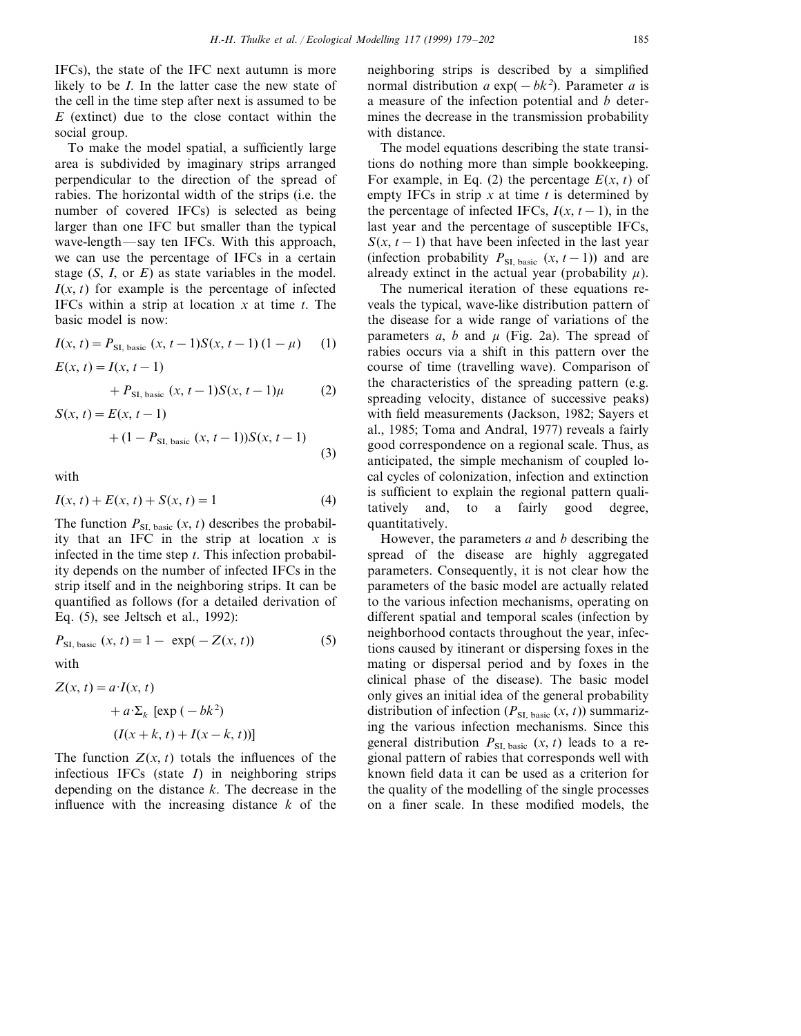IFCs), the state of the IFC next autumn is more likely to be *I*. In the latter case the new state of the cell in the time step after next is assumed to be *E* (extinct) due to the close contact within the social group.

To make the model spatial, a sufficiently large area is subdivided by imaginary strips arranged perpendicular to the direction of the spread of rabies. The horizontal width of the strips (i.e. the number of covered IFCs) is selected as being larger than one IFC but smaller than the typical wave-length—say ten IFCs. With this approach, we can use the percentage of IFCs in a certain stage (*S*, *I*, or *E*) as state variables in the model.  $I(x, t)$  for example is the percentage of infected IFCs within a strip at location *x* at time *t*. The basic model is now:

$$
I(x, t) = P_{\text{SI, basic}}(x, t-1)S(x, t-1) (1 - \mu) \tag{1}
$$

$$
E(x, t) = I(x, t - 1)
$$
  
+  $P_{\text{SI, basic}}(x, t - 1)S(x, t - 1)\mu$  (2)

$$
S(x, t) = E(x, t - 1)
$$
  
+ (1 - P<sub>SI, basic</sub> (x, t - 1))S(x, t - 1) (3)

with

$$
I(x, t) + E(x, t) + S(x, t) = 1
$$
\n(4)

The function  $P_{\text{SL, basic}}(x, t)$  describes the probability that an IFC in the strip at location *x* is infected in the time step *t*. This infection probability depends on the number of infected IFCs in the strip itself and in the neighboring strips. It can be quantified as follows (for a detailed derivation of Eq. (5), see Jeltsch et al., 1992):

$$
P_{\rm SI, basic}(x, t) = 1 - \exp(-Z(x, t))
$$
 (5)

with

$$
Z(x, t) = a \cdot I(x, t)
$$

$$
+ a \cdot \Sigma_k \left[ \exp(-bk^2) \right]
$$

$$
(I(x+k, t) + I(x-k, t))
$$

The function  $Z(x, t)$  totals the influences of the infectious IFCs (state *I*) in neighboring strips depending on the distance *k*. The decrease in the influence with the increasing distance *k* of the neighboring strips is described by a simplified normal distribution *a* exp(−*bk*<sup>2</sup> ). Parameter *a* is a measure of the infection potential and *b* determines the decrease in the transmission probability with distance.

The model equations describing the state transitions do nothing more than simple bookkeeping. For example, in Eq. (2) the percentage  $E(x, t)$  of empty IFCs in strip *x* at time *t* is determined by the percentage of infected IFCs,  $I(x, t-1)$ , in the last year and the percentage of susceptible IFCs,  $S(x, t-1)$  that have been infected in the last year (infection probability  $P_{\text{SL basic}} (x, t-1)$ ) and are already extinct in the actual year (probability  $\mu$ ).

The numerical iteration of these equations reveals the typical, wave-like distribution pattern of the disease for a wide range of variations of the parameters  $a$ ,  $b$  and  $\mu$  (Fig. 2a). The spread of rabies occurs via a shift in this pattern over the course of time (travelling wave). Comparison of the characteristics of the spreading pattern (e.g. spreading velocity, distance of successive peaks) with field measurements (Jackson, 1982; Sayers et al., 1985; Toma and Andral, 1977) reveals a fairly good correspondence on a regional scale. Thus, as anticipated, the simple mechanism of coupled local cycles of colonization, infection and extinction is sufficient to explain the regional pattern qualitatively and, to a fairly good degree, quantitatively.

However, the parameters *a* and *b* describing the spread of the disease are highly aggregated parameters. Consequently, it is not clear how the parameters of the basic model are actually related to the various infection mechanisms, operating on different spatial and temporal scales (infection by neighborhood contacts throughout the year, infections caused by itinerant or dispersing foxes in the mating or dispersal period and by foxes in the clinical phase of the disease). The basic model only gives an initial idea of the general probability distribution of infection ( $P_{\text{SL, basic}}(x, t)$ ) summarizing the various infection mechanisms. Since this general distribution  $P_{\text{SL, basic}}(x, t)$  leads to a regional pattern of rabies that corresponds well with known field data it can be used as a criterion for the quality of the modelling of the single processes on a finer scale. In these modified models, the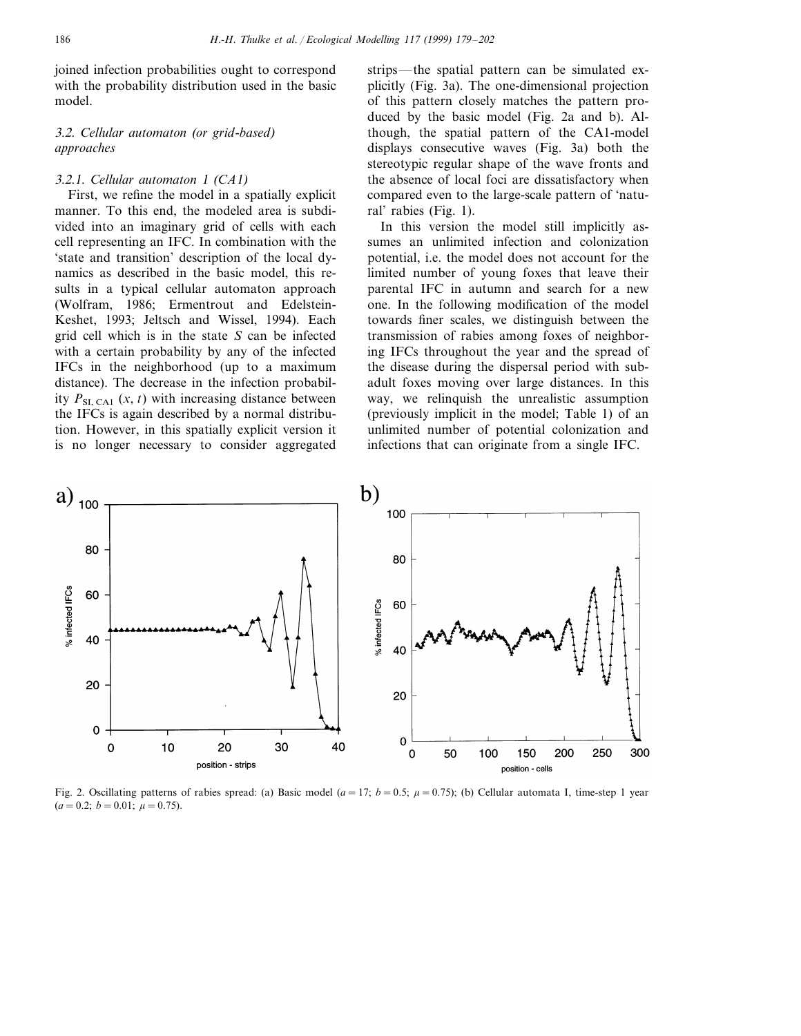joined infection probabilities ought to correspond with the probability distribution used in the basic model.

## 3.2. *Cellular automaton* (*or grid*-*based*) *approaches*

### 3.2.1. *Cellular automaton* 1 (*CA*1)

First, we refine the model in a spatially explicit manner. To this end, the modeled area is subdivided into an imaginary grid of cells with each cell representing an IFC. In combination with the 'state and transition' description of the local dynamics as described in the basic model, this results in a typical cellular automaton approach (Wolfram, 1986; Ermentrout and Edelstein-Keshet, 1993; Jeltsch and Wissel, 1994). Each grid cell which is in the state *S* can be infected with a certain probability by any of the infected IFCs in the neighborhood (up to a maximum distance). The decrease in the infection probability  $P_{\text{SL CA1}}(x, t)$  with increasing distance between the IFCs is again described by a normal distribution. However, in this spatially explicit version it is no longer necessary to consider aggregated

strips—the spatial pattern can be simulated explicitly (Fig. 3a). The one-dimensional projection of this pattern closely matches the pattern produced by the basic model (Fig. 2a and b). Although, the spatial pattern of the CA1-model displays consecutive waves (Fig. 3a) both the stereotypic regular shape of the wave fronts and the absence of local foci are dissatisfactory when compared even to the large-scale pattern of 'natural' rabies (Fig. 1).

In this version the model still implicitly assumes an unlimited infection and colonization potential, i.e. the model does not account for the limited number of young foxes that leave their parental IFC in autumn and search for a new one. In the following modification of the model towards finer scales, we distinguish between the transmission of rabies among foxes of neighboring IFCs throughout the year and the spread of the disease during the dispersal period with subadult foxes moving over large distances. In this way, we relinquish the unrealistic assumption (previously implicit in the model; Table 1) of an unlimited number of potential colonization and infections that can originate from a single IFC.



Fig. 2. Oscillating patterns of rabies spread: (a) Basic model  $(a = 17; b = 0.5; \mu = 0.75)$ ; (b) Cellular automata I, time-step 1 year  $(a=0.2; b=0.01; \mu=0.75).$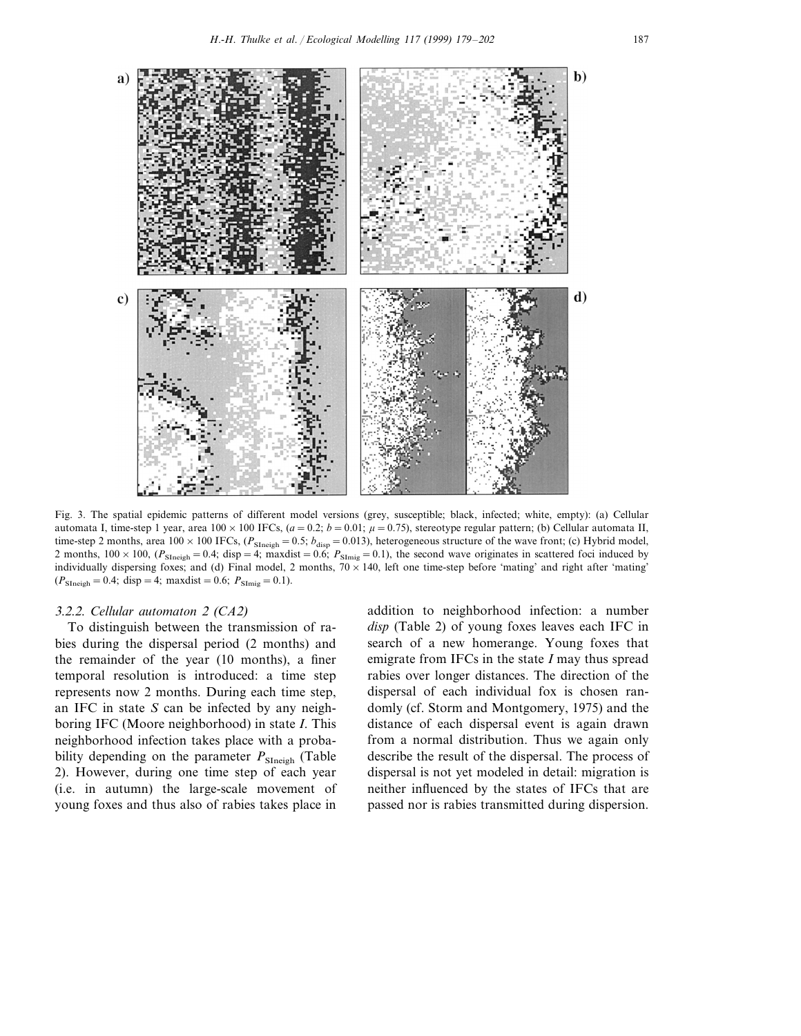

Fig. 3. The spatial epidemic patterns of different model versions (grey, susceptible; black, infected; white, empty): (a) Cellular automata I, time-step 1 year, area  $100 \times 100$  IFCs,  $(a = 0.2; b = 0.01; \mu = 0.75)$ , stereotype regular pattern; (b) Cellular automata II, time-step 2 months, area  $100 \times 100$  IFCs,  $(P_{\text{Sineigh}} = 0.5; b_{\text{disp}} = 0.013)$ , heterogeneous structure of the wave front; (c) Hybrid model, 2 months,  $100 \times 100$ , ( $P_{\text{Shreigh}} = 0.4$ ; disp = 4; maxdist = 0.6;  $P_{\text{Shmig}} = 0.1$ ), the second wave originates in scattered foci induced by individually dispersing foxes; and (d) Final model, 2 months,  $70 \times 140$ , left one time-step before 'mating' and right after 'mating'  $(P_{\text{SIneigh}}=0.4; \text{ disp}=4; \text{ maxdist}=0.6; P_{\text{SImig}}=0.1).$ 

#### 3.2.2. *Cellular automaton* <sup>2</sup> (*CA*2)

To distinguish between the transmission of rabies during the dispersal period (2 months) and the remainder of the year (10 months), a finer temporal resolution is introduced: a time step represents now 2 months. During each time step, an IFC in state *S* can be infected by any neighboring IFC (Moore neighborhood) in state *I*. This neighborhood infection takes place with a probability depending on the parameter  $P_{\text{SIneigh}}$  (Table 2). However, during one time step of each year (i.e. in autumn) the large-scale movement of young foxes and thus also of rabies takes place in

addition to neighborhood infection: a number *disp* (Table 2) of young foxes leaves each IFC in search of a new homerange. Young foxes that emigrate from IFCs in the state *I* may thus spread rabies over longer distances. The direction of the dispersal of each individual fox is chosen randomly (cf. Storm and Montgomery, 1975) and the distance of each dispersal event is again drawn from a normal distribution. Thus we again only describe the result of the dispersal. The process of dispersal is not yet modeled in detail: migration is neither influenced by the states of IFCs that are passed nor is rabies transmitted during dispersion.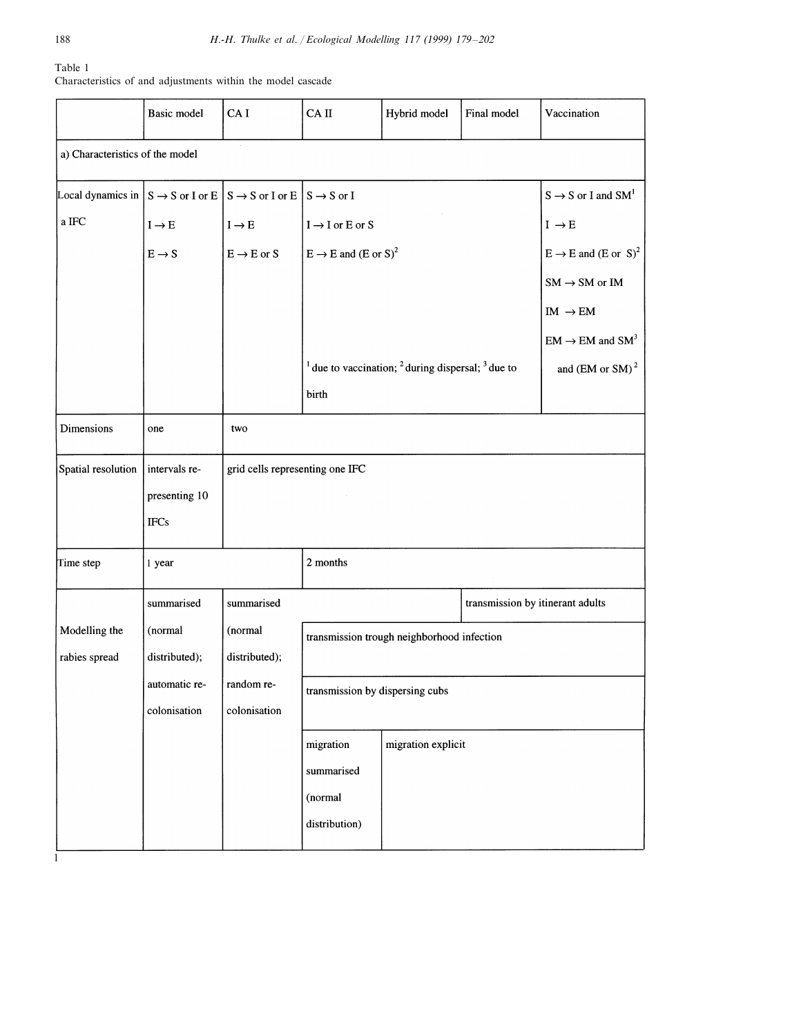# Table 1

Characteristics of and adjustments within the model cascade

| <b>Basic model</b>              | CA <sub>I</sub>                 | CA II                                                                                      | Hybrid model                                                                                                                                  | Final model | Vaccination                                                                    |  |  |
|---------------------------------|---------------------------------|--------------------------------------------------------------------------------------------|-----------------------------------------------------------------------------------------------------------------------------------------------|-------------|--------------------------------------------------------------------------------|--|--|
| a) Characteristics of the model |                                 |                                                                                            |                                                                                                                                               |             |                                                                                |  |  |
|                                 |                                 | $S \rightarrow S$ or I and $SM1$                                                           |                                                                                                                                               |             |                                                                                |  |  |
| $I \rightarrow E$               | $I \rightarrow E$               | $\text{I} \rightarrow \text{I}$ or E or S<br>$I \rightarrow E$                             |                                                                                                                                               |             |                                                                                |  |  |
| $E \rightarrow S$               | $E\to E$ or $S$                 | $E \rightarrow E$ and $(E \text{ or } S)^2$<br>$E \rightarrow E$ and $(E \text{ or } S)^2$ |                                                                                                                                               |             |                                                                                |  |  |
|                                 |                                 |                                                                                            |                                                                                                                                               |             | $\text{SM} \rightarrow \text{SM}$ or $\text{IM}$                               |  |  |
|                                 |                                 |                                                                                            |                                                                                                                                               |             | $IM \rightarrow EM$                                                            |  |  |
|                                 |                                 |                                                                                            |                                                                                                                                               |             | $EM \rightarrow EM$ and $SM^3$                                                 |  |  |
|                                 |                                 |                                                                                            |                                                                                                                                               |             | and (EM or SM) $2$                                                             |  |  |
|                                 |                                 | birth                                                                                      |                                                                                                                                               |             |                                                                                |  |  |
| one                             | two                             |                                                                                            |                                                                                                                                               |             |                                                                                |  |  |
| intervals re-                   | grid cells representing one IFC |                                                                                            |                                                                                                                                               |             |                                                                                |  |  |
| presenting 10                   |                                 |                                                                                            |                                                                                                                                               |             |                                                                                |  |  |
| <b>IFCs</b>                     |                                 |                                                                                            |                                                                                                                                               |             |                                                                                |  |  |
| 1 year                          |                                 | 2 months                                                                                   |                                                                                                                                               |             |                                                                                |  |  |
| summarised                      | summarised                      | transmission by itinerant adults                                                           |                                                                                                                                               |             |                                                                                |  |  |
| (normal                         | (normal                         | transmission trough neighborhood infection                                                 |                                                                                                                                               |             |                                                                                |  |  |
| distributed);                   | distributed);                   |                                                                                            |                                                                                                                                               |             |                                                                                |  |  |
| automatic re-                   | random re-                      | transmission by dispersing cubs                                                            |                                                                                                                                               |             |                                                                                |  |  |
|                                 |                                 |                                                                                            |                                                                                                                                               |             |                                                                                |  |  |
|                                 |                                 | migration                                                                                  |                                                                                                                                               |             |                                                                                |  |  |
|                                 |                                 |                                                                                            |                                                                                                                                               |             |                                                                                |  |  |
|                                 |                                 |                                                                                            |                                                                                                                                               |             |                                                                                |  |  |
|                                 |                                 |                                                                                            |                                                                                                                                               |             |                                                                                |  |  |
|                                 | colonisation                    | colonisation                                                                               | Local dynamics in $ S \rightarrow S$ or I or E $ S \rightarrow S$ or I or E $ S \rightarrow S$ or I<br>summarised<br>(normal<br>distribution) |             | $1$ due to vaccination; $2$ during dispersal; $3$ due to<br>migration explicit |  |  |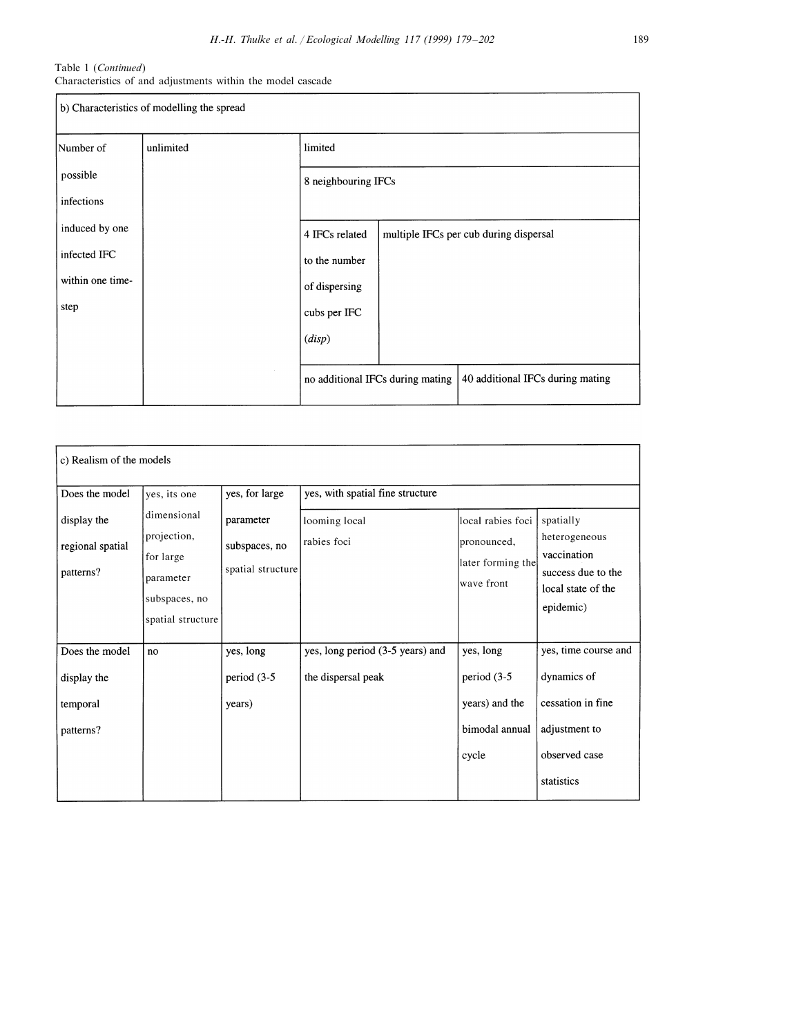### Table 1 (*Continued*) Characteristics of and adjustments within the model cascade

 $\Gamma$ 

| b) Characteristics of modelling the spread |           |                                  |                                  |                                        |  |  |  |
|--------------------------------------------|-----------|----------------------------------|----------------------------------|----------------------------------------|--|--|--|
| Number of                                  | unlimited | limited                          |                                  |                                        |  |  |  |
| possible                                   |           | 8 neighbouring IFCs              |                                  |                                        |  |  |  |
| infections                                 |           |                                  |                                  |                                        |  |  |  |
| induced by one                             |           | 4 IFCs related                   |                                  | multiple IFCs per cub during dispersal |  |  |  |
| infected IFC                               |           | to the number                    |                                  |                                        |  |  |  |
| within one time-                           |           | of dispersing                    |                                  |                                        |  |  |  |
| step                                       |           | cubs per IFC                     |                                  |                                        |  |  |  |
|                                            |           | (disp)                           |                                  |                                        |  |  |  |
|                                            |           | no additional IFCs during mating | 40 additional IFCs during mating |                                        |  |  |  |

| c) Realism of the models                     |                                                                                            |                                                 |                                  |                                                                       |                                                                                                    |  |
|----------------------------------------------|--------------------------------------------------------------------------------------------|-------------------------------------------------|----------------------------------|-----------------------------------------------------------------------|----------------------------------------------------------------------------------------------------|--|
| Does the model                               | yes, its one                                                                               | yes, for large                                  | yes, with spatial fine structure |                                                                       |                                                                                                    |  |
| display the<br>regional spatial<br>patterns? | dimensional<br>projection,<br>for large<br>parameter<br>subspaces, no<br>spatial structure | parameter<br>subspaces, no<br>spatial structure | looming local<br>rabies foci     | llocal rabies foci<br>pronounced,<br>later forming the<br>lwave front | spatially<br>heterogeneous<br>vaccination<br>success due to the<br>local state of the<br>epidemic) |  |
| Does the model                               | no                                                                                         | yes, long                                       | yes, long period (3-5 years) and | yes, long                                                             | yes, time course and                                                                               |  |
| display the                                  |                                                                                            | period $(3-5)$                                  | the dispersal peak               | period $(3-5)$                                                        | dynamics of                                                                                        |  |
| temporal                                     |                                                                                            | years)                                          |                                  | years) and the                                                        | cessation in fine                                                                                  |  |
| patterns?                                    |                                                                                            |                                                 |                                  | bimodal annual                                                        | adjustment to                                                                                      |  |
|                                              |                                                                                            |                                                 |                                  | cycle                                                                 | observed case                                                                                      |  |
|                                              |                                                                                            |                                                 |                                  |                                                                       | statistics                                                                                         |  |

٦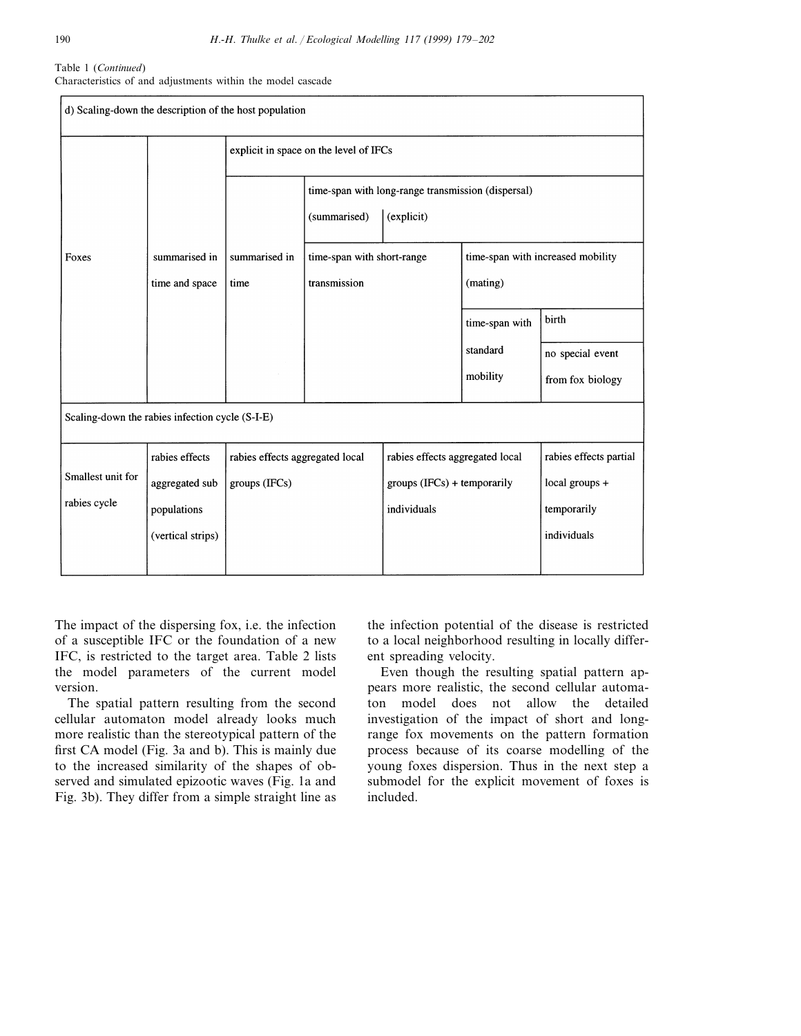### Table 1 (*Continued*) Characteristics of and adjustments within the model cascade

| d) Scaling-down the description of the host population |                   |                                                  |                                                                                  |                                                                  |                                               |                        |  |
|--------------------------------------------------------|-------------------|--------------------------------------------------|----------------------------------------------------------------------------------|------------------------------------------------------------------|-----------------------------------------------|------------------------|--|
|                                                        |                   | explicit in space on the level of IFCs           |                                                                                  |                                                                  |                                               |                        |  |
|                                                        |                   |                                                  | time-span with long-range transmission (dispersal)<br>(summarised)<br>(explicit) |                                                                  |                                               |                        |  |
|                                                        |                   | summarised in                                    |                                                                                  |                                                                  |                                               |                        |  |
| Foxes                                                  | summarised in     |                                                  | time-span with short-range<br>transmission                                       |                                                                  | time-span with increased mobility<br>(mating) |                        |  |
|                                                        | time and space    | time                                             |                                                                                  |                                                                  |                                               |                        |  |
|                                                        |                   |                                                  |                                                                                  |                                                                  | time-span with                                | birth                  |  |
|                                                        |                   |                                                  |                                                                                  |                                                                  | standard                                      | no special event       |  |
|                                                        |                   |                                                  |                                                                                  |                                                                  | mobility                                      | from fox biology       |  |
| Scaling-down the rabies infection cycle (S-I-E)        |                   |                                                  |                                                                                  |                                                                  |                                               |                        |  |
|                                                        | rabies effects    | rabies effects aggregated local<br>groups (IFCs) |                                                                                  | rabies effects aggregated local<br>$groups (IFCs) + temporarily$ |                                               | rabies effects partial |  |
| Smallest unit for                                      | aggregated sub    |                                                  |                                                                                  |                                                                  |                                               | local groups +         |  |
| rabies cycle                                           | populations       |                                                  |                                                                                  | individuals                                                      |                                               | temporarily            |  |
|                                                        | (vertical strips) |                                                  |                                                                                  |                                                                  |                                               | individuals            |  |
|                                                        |                   |                                                  |                                                                                  |                                                                  |                                               |                        |  |

The impact of the dispersing fox, i.e. the infection of a susceptible IFC or the foundation of a new IFC, is restricted to the target area. Table 2 lists the model parameters of the current model version.

The spatial pattern resulting from the second cellular automaton model already looks much more realistic than the stereotypical pattern of the first CA model (Fig. 3a and b). This is mainly due to the increased similarity of the shapes of observed and simulated epizootic waves (Fig. 1a and Fig. 3b). They differ from a simple straight line as

the infection potential of the disease is restricted to a local neighborhood resulting in locally different spreading velocity.

Even though the resulting spatial pattern appears more realistic, the second cellular automaton model does not allow the detailed investigation of the impact of short and longrange fox movements on the pattern formation process because of its coarse modelling of the young foxes dispersion. Thus in the next step a submodel for the explicit movement of foxes is included.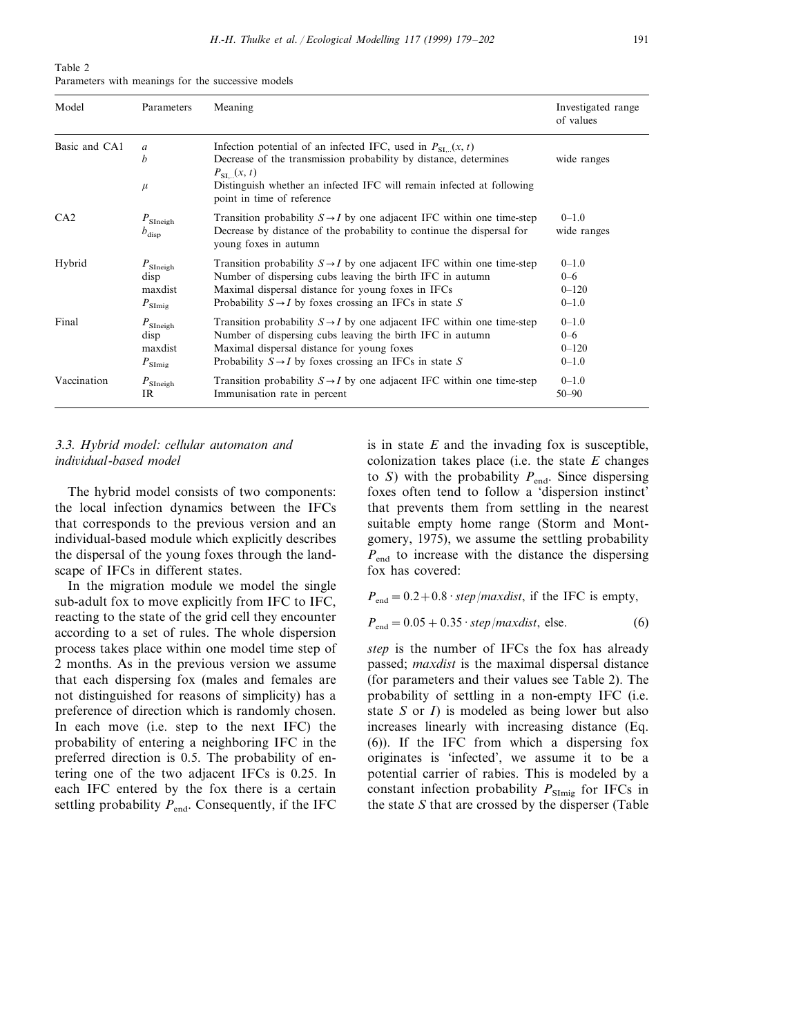| Table 2                                            |  |  |  |
|----------------------------------------------------|--|--|--|
| Parameters with meanings for the successive models |  |  |  |

| Model         | Parameters                             | Meaning                                                                                                                                                                                                                                                                   | Investigated range<br>of values |
|---------------|----------------------------------------|---------------------------------------------------------------------------------------------------------------------------------------------------------------------------------------------------------------------------------------------------------------------------|---------------------------------|
| Basic and CA1 | $\overline{a}$<br>b<br>$\mu$           | Infection potential of an infected IFC, used in $P_{\text{ST}}(x, t)$<br>Decrease of the transmission probability by distance, determines<br>$P_{\text{SL}}(x, t)$<br>Distinguish whether an infected IFC will remain infected at following<br>point in time of reference | wide ranges                     |
| CA2           | $P_{\text{SIneigh}}$<br>$b_{\rm disp}$ | Transition probability $S \rightarrow I$ by one adjacent IFC within one time-step<br>Decrease by distance of the probability to continue the dispersal for<br>young foxes in autumn                                                                                       | $0 - 1.0$<br>wide ranges        |
| Hybrid        | $P_{\rm SIneigh}$                      | Transition probability $S \rightarrow I$ by one adjacent IFC within one time-step                                                                                                                                                                                         | $0 - 1.0$                       |
|               | disp                                   | Number of dispersing cubs leaving the birth IFC in autumn                                                                                                                                                                                                                 | $0 - 6$                         |
|               | maxdist                                | Maximal dispersal distance for young foxes in IFCs                                                                                                                                                                                                                        | $0 - 120$                       |
|               | $P_{\rm SImig}$                        | Probability $S \rightarrow I$ by foxes crossing an IFCs in state S                                                                                                                                                                                                        | $0 - 1.0$                       |
| Final         | $P_{\rm SIneigh}$                      | Transition probability $S \rightarrow I$ by one adjacent IFC within one time-step                                                                                                                                                                                         | $0 - 1.0$                       |
|               | disp                                   | Number of dispersing cubs leaving the birth IFC in autumn                                                                                                                                                                                                                 | $0 - 6$                         |
|               | maxdist                                | Maximal dispersal distance for young foxes                                                                                                                                                                                                                                | $0 - 120$                       |
|               | $P_{\text{SImig}}$                     | Probability $S \rightarrow I$ by foxes crossing an IFCs in state S                                                                                                                                                                                                        | $0 - 1.0$                       |
| Vaccination   | $P_{\rm SIneigh}$                      | Transition probability $S \rightarrow I$ by one adjacent IFC within one time-step                                                                                                                                                                                         | $0 - 1.0$                       |
|               | <b>IR</b>                              | Immunisation rate in percent                                                                                                                                                                                                                                              | $50 - 90$                       |

### 3.3. *Hybrid model*: *cellular automaton and indi*6*idual*-*based model*

The hybrid model consists of two components: the local infection dynamics between the IFCs that corresponds to the previous version and an individual-based module which explicitly describes the dispersal of the young foxes through the landscape of IFCs in different states.

In the migration module we model the single sub-adult fox to move explicitly from IFC to IFC, reacting to the state of the grid cell they encounter according to a set of rules. The whole dispersion process takes place within one model time step of 2 months. As in the previous version we assume that each dispersing fox (males and females are not distinguished for reasons of simplicity) has a preference of direction which is randomly chosen. In each move (i.e. step to the next IFC) the probability of entering a neighboring IFC in the preferred direction is 0.5. The probability of entering one of the two adjacent IFCs is 0.25. In each IFC entered by the fox there is a certain settling probability  $P_{\text{end}}$ . Consequently, if the IFC

is in state *E* and the invading fox is susceptible, colonization takes place (i.e. the state *E* changes to *S*) with the probability  $P_{\text{end}}$ . Since dispersing foxes often tend to follow a 'dispersion instinct' that prevents them from settling in the nearest suitable empty home range (Storm and Montgomery, 1975), we assume the settling probability  $P_{\text{end}}$  to increase with the distance the dispersing fox has covered:

 $P_{\text{end}}=0.2+0.8 \cdot \text{step}/\text{maxdist}$ , if the IFC is empty,

$$
P_{\text{end}} = 0.05 + 0.35 \cdot \text{step/maxdist, else.}
$$
 (6)

*step* is the number of IFCs the fox has already passed; *maxdist* is the maximal dispersal distance (for parameters and their values see Table 2). The probability of settling in a non-empty IFC (i.e. state *S* or *I*) is modeled as being lower but also increases linearly with increasing distance (Eq. (6)). If the IFC from which a dispersing fox originates is 'infected', we assume it to be a potential carrier of rabies. This is modeled by a constant infection probability  $P_{\text{SImig}}$  for IFCs in the state *S* that are crossed by the disperser (Table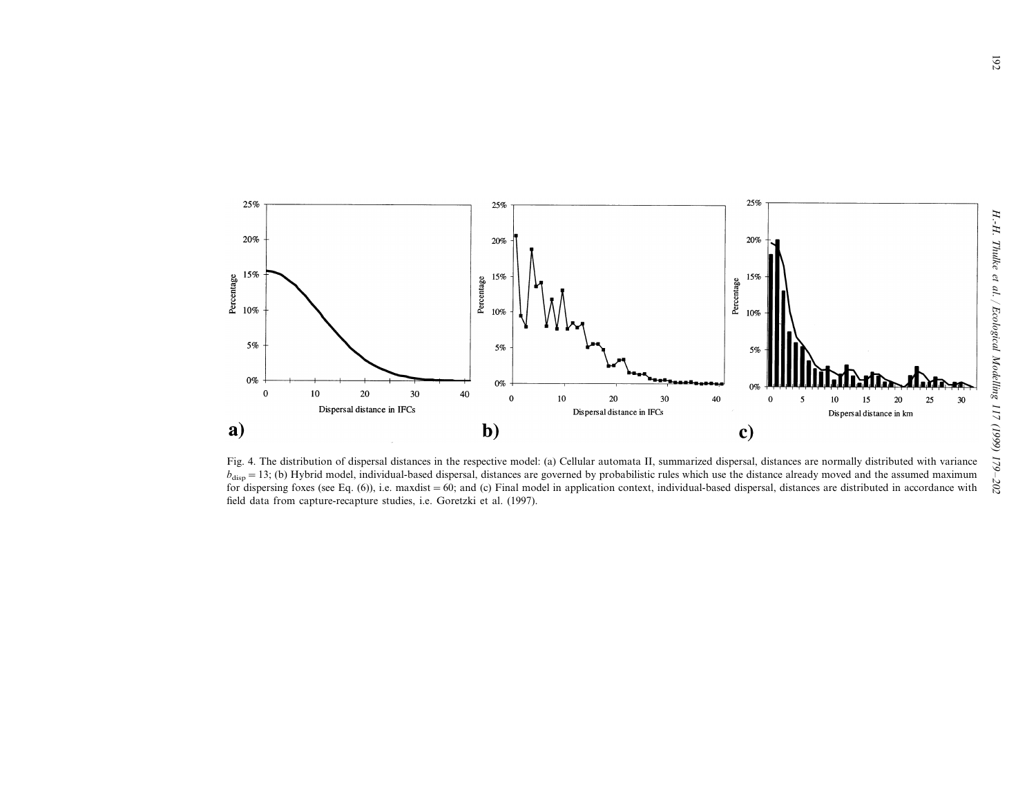

 $b_{\text{disp}} = 13$ ; (b) Hybrid model, individual-based dispersal, distances are governed by probabilistic rules which use the distance already moved and the assumed maximum for dispersing foxes (see Eq. (6)), i.e. maxdist = 60; and (c) Final model in application context, individual-based dispersal, distances are distributed in accordance with field data from capture-recapture studies, i.e. Goretzki et al. (1997).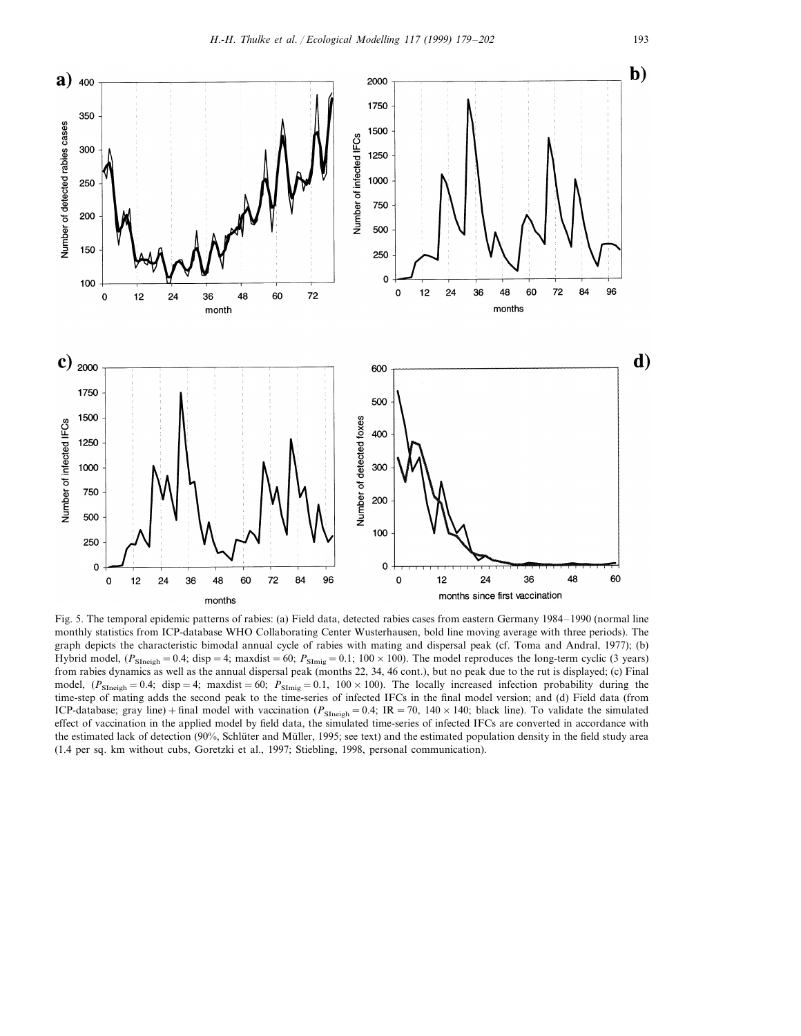

Fig. 5. The temporal epidemic patterns of rabies: (a) Field data, detected rabies cases from eastern Germany 1984–1990 (normal line monthly statistics from ICP-database WHO Collaborating Center Wusterhausen, bold line moving average with three periods). The graph depicts the characteristic bimodal annual cycle of rabies with mating and dispersal peak (cf. Toma and Andral, 1977); (b) Hybrid model,  $(P_{\text{Sineigh}}=0.4; \text{disp}=4; \text{maxdist}=60; P_{\text{SImig}}=0.1; 100\times100)$ . The model reproduces the long-term cyclic (3 years) from rabies dynamics as well as the annual dispersal peak (months 22, 34, 46 cont.), but no peak due to the rut is displayed; (c) Final model,  $(P_{\text{SIneigh}}=0.4; \text{disp}=4; \text{maxdist}=60; P_{\text{SImig}}=0.1, 100 \times 100)$ . The locally increased infection probability during the time-step of mating adds the second peak to the time-series of infected IFCs in the final model version; and (d) Field data (from ICP-database; gray line) + final model with vaccination ( $P_{\text{Sineigh}} = 0.4$ ; IR = 70, 140 × 140; black line). To validate the simulated effect of vaccination in the applied model by field data, the simulated time-series of infected IFCs are converted in accordance with the estimated lack of detection (90%, Schlüter and Müller, 1995; see text) and the estimated population density in the field study area (1.4 per sq. km without cubs, Goretzki et al., 1997; Stiebling, 1998, personal communication).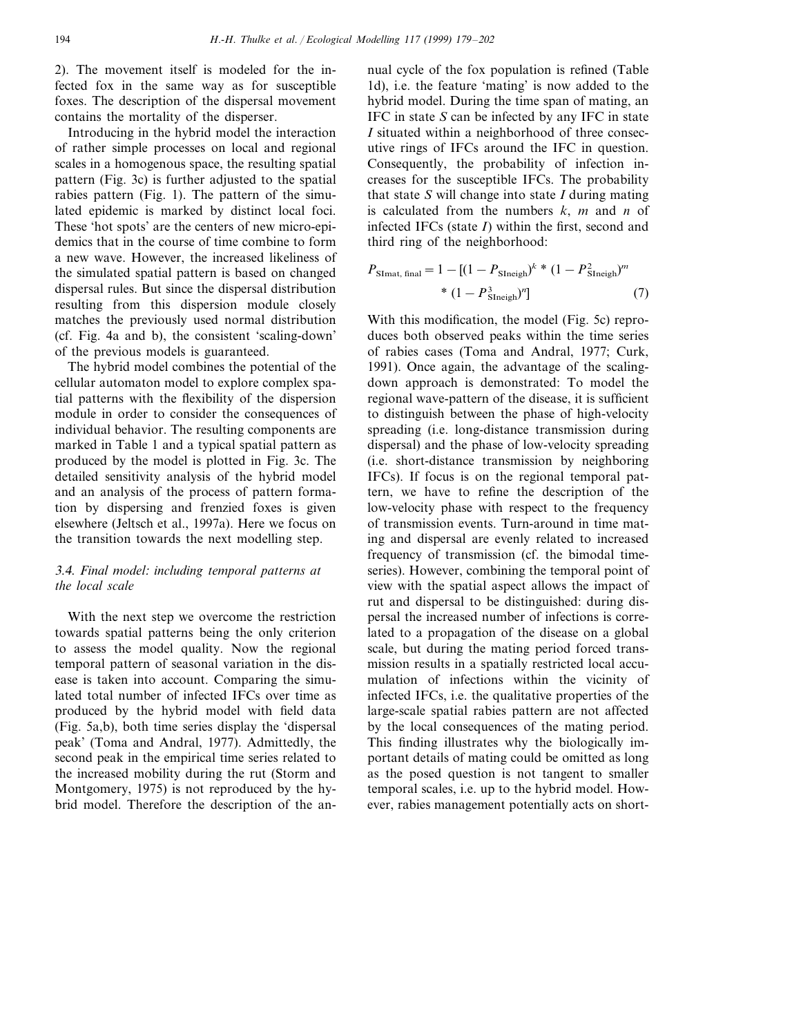2). The movement itself is modeled for the infected fox in the same way as for susceptible foxes. The description of the dispersal movement contains the mortality of the disperser.

Introducing in the hybrid model the interaction of rather simple processes on local and regional scales in a homogenous space, the resulting spatial pattern (Fig. 3c) is further adjusted to the spatial rabies pattern (Fig. 1). The pattern of the simulated epidemic is marked by distinct local foci. These 'hot spots' are the centers of new micro-epidemics that in the course of time combine to form a new wave. However, the increased likeliness of the simulated spatial pattern is based on changed dispersal rules. But since the dispersal distribution resulting from this dispersion module closely matches the previously used normal distribution (cf. Fig. 4a and b), the consistent 'scaling-down' of the previous models is guaranteed.

The hybrid model combines the potential of the cellular automaton model to explore complex spatial patterns with the flexibility of the dispersion module in order to consider the consequences of individual behavior. The resulting components are marked in Table 1 and a typical spatial pattern as produced by the model is plotted in Fig. 3c. The detailed sensitivity analysis of the hybrid model and an analysis of the process of pattern formation by dispersing and frenzied foxes is given elsewhere (Jeltsch et al., 1997a). Here we focus on the transition towards the next modelling step.

# 3.4. *Final model*: *including temporal patterns at the local scale*

With the next step we overcome the restriction towards spatial patterns being the only criterion to assess the model quality. Now the regional temporal pattern of seasonal variation in the disease is taken into account. Comparing the simulated total number of infected IFCs over time as produced by the hybrid model with field data (Fig. 5a,b), both time series display the 'dispersal peak' (Toma and Andral, 1977). Admittedly, the second peak in the empirical time series related to the increased mobility during the rut (Storm and Montgomery, 1975) is not reproduced by the hybrid model. Therefore the description of the annual cycle of the fox population is refined (Table 1d), i.e. the feature 'mating' is now added to the hybrid model. During the time span of mating, an IFC in state *S* can be infected by any IFC in state *I* situated within a neighborhood of three consecutive rings of IFCs around the IFC in question. Consequently, the probability of infection increases for the susceptible IFCs. The probability that state *S* will change into state *I* during mating is calculated from the numbers *k*, *m* and *n* of infected IFCs (state *I*) within the first, second and third ring of the neighborhood:

$$
P_{\text{SIMat, final}} = 1 - [(1 - P_{\text{SIneight}})^k * (1 - P_{\text{SIneight}}^2)^m
$$

$$
* (1 - P_{\text{SIneight}}^3)^n]
$$
(7)

With this modification, the model (Fig. 5c) reproduces both observed peaks within the time series of rabies cases (Toma and Andral, 1977; Curk, 1991). Once again, the advantage of the scalingdown approach is demonstrated: To model the regional wave-pattern of the disease, it is sufficient to distinguish between the phase of high-velocity spreading (i.e. long-distance transmission during dispersal) and the phase of low-velocity spreading (i.e. short-distance transmission by neighboring IFCs). If focus is on the regional temporal pattern, we have to refine the description of the low-velocity phase with respect to the frequency of transmission events. Turn-around in time mating and dispersal are evenly related to increased frequency of transmission (cf. the bimodal timeseries). However, combining the temporal point of view with the spatial aspect allows the impact of rut and dispersal to be distinguished: during dispersal the increased number of infections is correlated to a propagation of the disease on a global scale, but during the mating period forced transmission results in a spatially restricted local accumulation of infections within the vicinity of infected IFCs, i.e. the qualitative properties of the large-scale spatial rabies pattern are not affected by the local consequences of the mating period. This finding illustrates why the biologically important details of mating could be omitted as long as the posed question is not tangent to smaller temporal scales, i.e. up to the hybrid model. However, rabies management potentially acts on short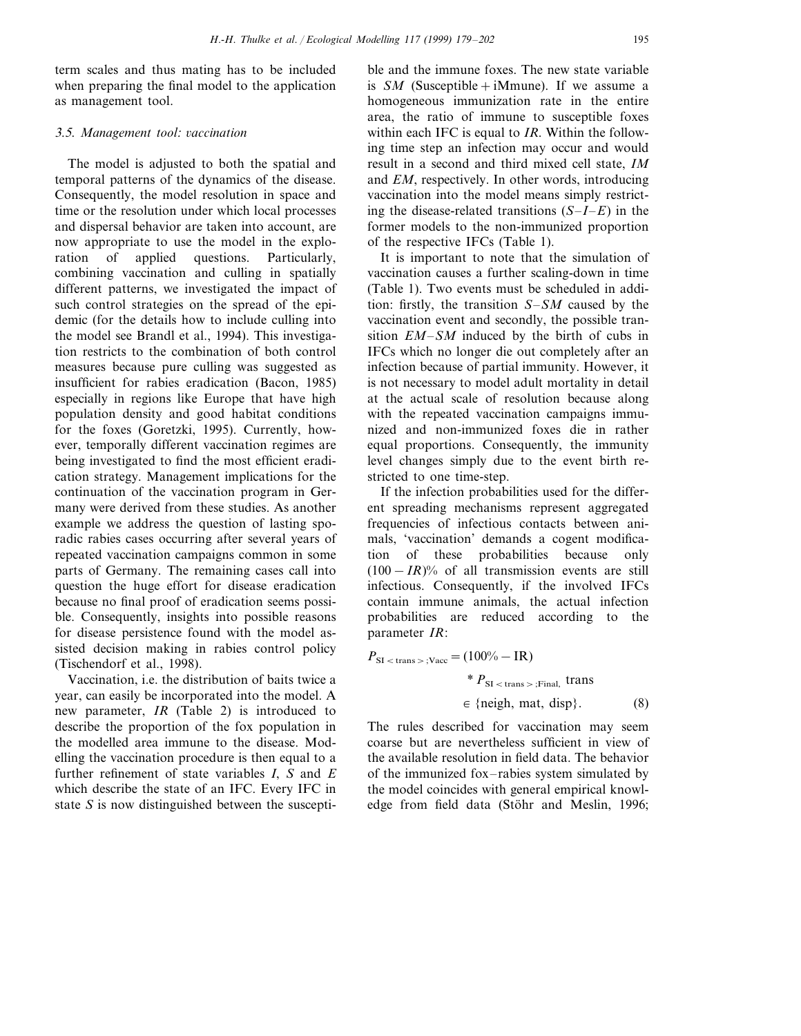term scales and thus mating has to be included when preparing the final model to the application as management tool.

### <sup>3</sup>.5. *Management tool*: 6*accination*

The model is adjusted to both the spatial and temporal patterns of the dynamics of the disease. Consequently, the model resolution in space and time or the resolution under which local processes and dispersal behavior are taken into account, are now appropriate to use the model in the exploration of applied questions. Particularly, combining vaccination and culling in spatially different patterns, we investigated the impact of such control strategies on the spread of the epidemic (for the details how to include culling into the model see Brandl et al., 1994). This investigation restricts to the combination of both control measures because pure culling was suggested as insufficient for rabies eradication (Bacon, 1985) especially in regions like Europe that have high population density and good habitat conditions for the foxes (Goretzki, 1995). Currently, however, temporally different vaccination regimes are being investigated to find the most efficient eradication strategy. Management implications for the continuation of the vaccination program in Germany were derived from these studies. As another example we address the question of lasting sporadic rabies cases occurring after several years of repeated vaccination campaigns common in some parts of Germany. The remaining cases call into question the huge effort for disease eradication because no final proof of eradication seems possible. Consequently, insights into possible reasons for disease persistence found with the model assisted decision making in rabies control policy (Tischendorf et al., 1998).

Vaccination, i.e. the distribution of baits twice a year, can easily be incorporated into the model. A new parameter, *IR* (Table 2) is introduced to describe the proportion of the fox population in the modelled area immune to the disease. Modelling the vaccination procedure is then equal to a further refinement of state variables *I*, *S* and *E* which describe the state of an IFC. Every IFC in state *S* is now distinguished between the susceptible and the immune foxes. The new state variable is  $SM$  (Susceptible + iMmune). If we assume a homogeneous immunization rate in the entire area, the ratio of immune to susceptible foxes within each IFC is equal to *IR*. Within the following time step an infection may occur and would result in a second and third mixed cell state, *IM* and *EM*, respectively. In other words, introducing vaccination into the model means simply restricting the disease-related transitions  $(S-I-E)$  in the former models to the non-immunized proportion of the respective IFCs (Table 1).

It is important to note that the simulation of vaccination causes a further scaling-down in time (Table 1). Two events must be scheduled in addition: firstly, the transition *S*–*SM* caused by the vaccination event and secondly, the possible transition *EM*–*SM* induced by the birth of cubs in IFCs which no longer die out completely after an infection because of partial immunity. However, it is not necessary to model adult mortality in detail at the actual scale of resolution because along with the repeated vaccination campaigns immunized and non-immunized foxes die in rather equal proportions. Consequently, the immunity level changes simply due to the event birth restricted to one time-step.

If the infection probabilities used for the different spreading mechanisms represent aggregated frequencies of infectious contacts between animals, 'vaccination' demands a cogent modification of these probabilities because only (100−*IR*)% of all transmission events are still infectious. Consequently, if the involved IFCs contain immune animals, the actual infection probabilities are reduced according to the parameter *IR*:

$$
P_{\text{SI} < \text{trans} > \text{;Vacc}} = (100\% - \text{IR})
$$
\n
$$
* P_{\text{SI} < \text{trans} > \text{;Final, trans}}
$$
\n
$$
\in \{\text{neigh, mat, disp}\}. \tag{8}
$$

The rules described for vaccination may seem coarse but are nevertheless sufficient in view of the available resolution in field data. The behavior of the immunized fox–rabies system simulated by the model coincides with general empirical knowledge from field data (Stöhr and Meslin, 1996;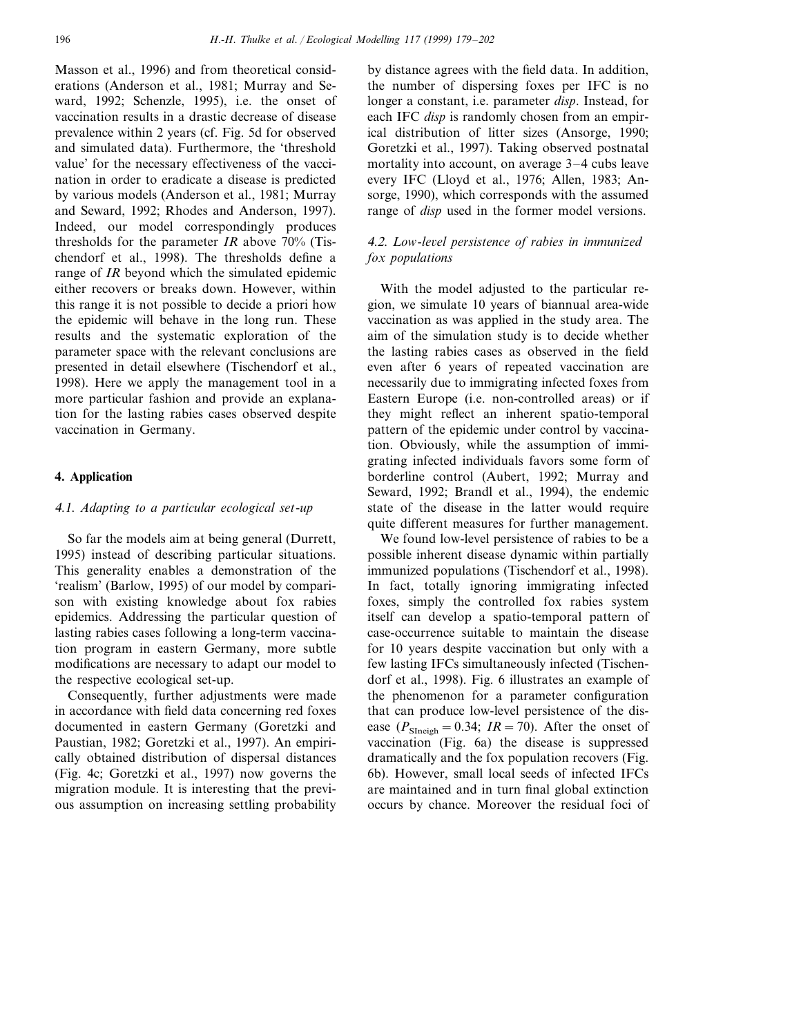Masson et al., 1996) and from theoretical considerations (Anderson et al., 1981; Murray and Seward, 1992; Schenzle, 1995), i.e. the onset of vaccination results in a drastic decrease of disease prevalence within 2 years (cf. Fig. 5d for observed and simulated data). Furthermore, the 'threshold value' for the necessary effectiveness of the vaccination in order to eradicate a disease is predicted by various models (Anderson et al., 1981; Murray and Seward, 1992; Rhodes and Anderson, 1997). Indeed, our model correspondingly produces thresholds for the parameter *IR* above 70% (Tischendorf et al., 1998). The thresholds define a range of *IR* beyond which the simulated epidemic either recovers or breaks down. However, within this range it is not possible to decide a priori how the epidemic will behave in the long run. These results and the systematic exploration of the parameter space with the relevant conclusions are presented in detail elsewhere (Tischendorf et al., 1998). Here we apply the management tool in a more particular fashion and provide an explanation for the lasting rabies cases observed despite vaccination in Germany.

### **4. Application**

### <sup>4</sup>.1. *Adapting to a particular ecological set*-*up*

So far the models aim at being general (Durrett, 1995) instead of describing particular situations. This generality enables a demonstration of the 'realism' (Barlow, 1995) of our model by comparison with existing knowledge about fox rabies epidemics. Addressing the particular question of lasting rabies cases following a long-term vaccination program in eastern Germany, more subtle modifications are necessary to adapt our model to the respective ecological set-up.

Consequently, further adjustments were made in accordance with field data concerning red foxes documented in eastern Germany (Goretzki and Paustian, 1982; Goretzki et al., 1997). An empirically obtained distribution of dispersal distances (Fig. 4c; Goretzki et al., 1997) now governs the migration module. It is interesting that the previous assumption on increasing settling probability by distance agrees with the field data. In addition, the number of dispersing foxes per IFC is no longer a constant, i.e. parameter *disp*. Instead, for each IFC *disp* is randomly chosen from an empirical distribution of litter sizes (Ansorge, 1990; Goretzki et al., 1997). Taking observed postnatal mortality into account, on average 3–4 cubs leave every IFC (Lloyd et al., 1976; Allen, 1983; Ansorge, 1990), which corresponds with the assumed range of *disp* used in the former model versions.

## 4.2. Low-level persistence of rabies in immunized *fox populations*

With the model adjusted to the particular region, we simulate 10 years of biannual area-wide vaccination as was applied in the study area. The aim of the simulation study is to decide whether the lasting rabies cases as observed in the field even after 6 years of repeated vaccination are necessarily due to immigrating infected foxes from Eastern Europe (i.e. non-controlled areas) or if they might reflect an inherent spatio-temporal pattern of the epidemic under control by vaccination. Obviously, while the assumption of immigrating infected individuals favors some form of borderline control (Aubert, 1992; Murray and Seward, 1992; Brandl et al., 1994), the endemic state of the disease in the latter would require quite different measures for further management.

We found low-level persistence of rabies to be a possible inherent disease dynamic within partially immunized populations (Tischendorf et al., 1998). In fact, totally ignoring immigrating infected foxes, simply the controlled fox rabies system itself can develop a spatio-temporal pattern of case-occurrence suitable to maintain the disease for 10 years despite vaccination but only with a few lasting IFCs simultaneously infected (Tischendorf et al., 1998). Fig. 6 illustrates an example of the phenomenon for a parameter configuration that can produce low-level persistence of the disease ( $P_{\text{SIneigh}}=0.34$ ;  $IR=70$ ). After the onset of vaccination (Fig. 6a) the disease is suppressed dramatically and the fox population recovers (Fig. 6b). However, small local seeds of infected IFCs are maintained and in turn final global extinction occurs by chance. Moreover the residual foci of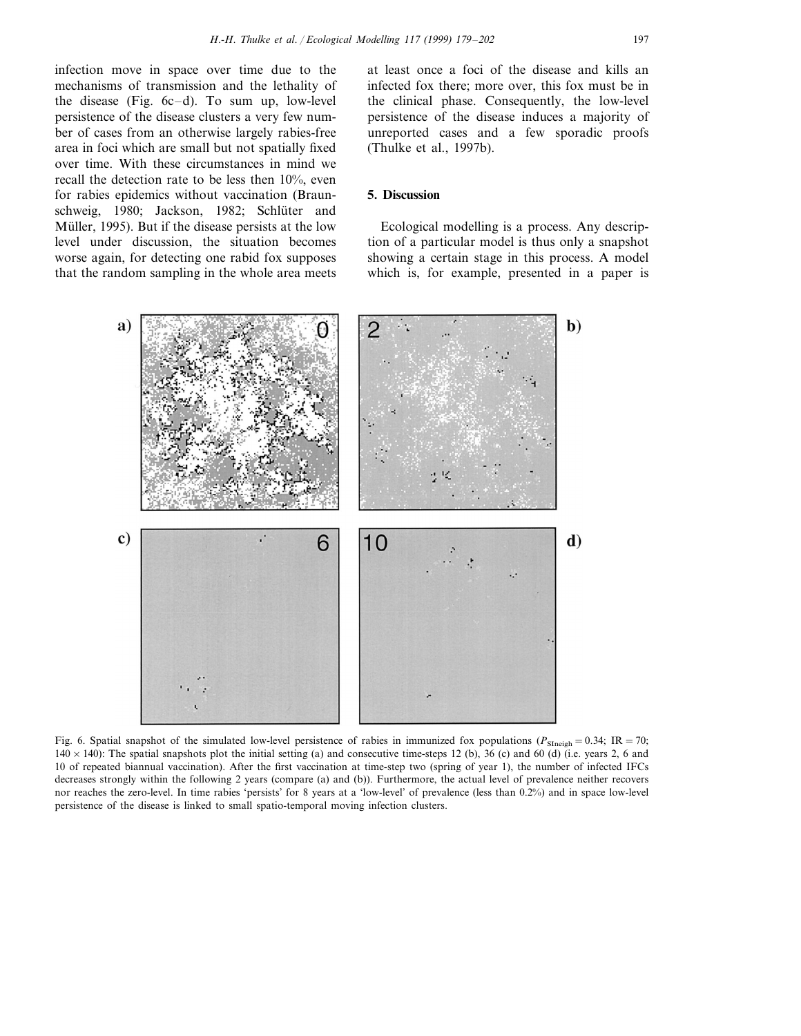infection move in space over time due to the mechanisms of transmission and the lethality of the disease (Fig. 6c–d). To sum up, low-level persistence of the disease clusters a very few number of cases from an otherwise largely rabies-free area in foci which are small but not spatially fixed over time. With these circumstances in mind we recall the detection rate to be less then 10%, even for rabies epidemics without vaccination (Braunschweig, 1980; Jackson, 1982; Schlüter and Müller, 1995). But if the disease persists at the low level under discussion, the situation becomes worse again, for detecting one rabid fox supposes that the random sampling in the whole area meets at least once a foci of the disease and kills an infected fox there; more over, this fox must be in the clinical phase. Consequently, the low-level persistence of the disease induces a majority of unreported cases and a few sporadic proofs (Thulke et al., 1997b).

### **5. Discussion**

Ecological modelling is a process. Any description of a particular model is thus only a snapshot showing a certain stage in this process. A model which is, for example, presented in a paper is



Fig. 6. Spatial snapshot of the simulated low-level persistence of rabies in immunized fox populations ( $P_{\text{Shreich}}=0.34$ ; IR = 70;  $140 \times 140$ ): The spatial snapshots plot the initial setting (a) and consecutive time-steps 12 (b), 36 (c) and 60 (d) (i.e. years 2, 6 and 10 of repeated biannual vaccination). After the first vaccination at time-step two (spring of year 1), the number of infected IFCs decreases strongly within the following 2 years (compare (a) and (b)). Furthermore, the actual level of prevalence neither recovers nor reaches the zero-level. In time rabies 'persists' for 8 years at a 'low-level' of prevalence (less than 0.2%) and in space low-level persistence of the disease is linked to small spatio-temporal moving infection clusters.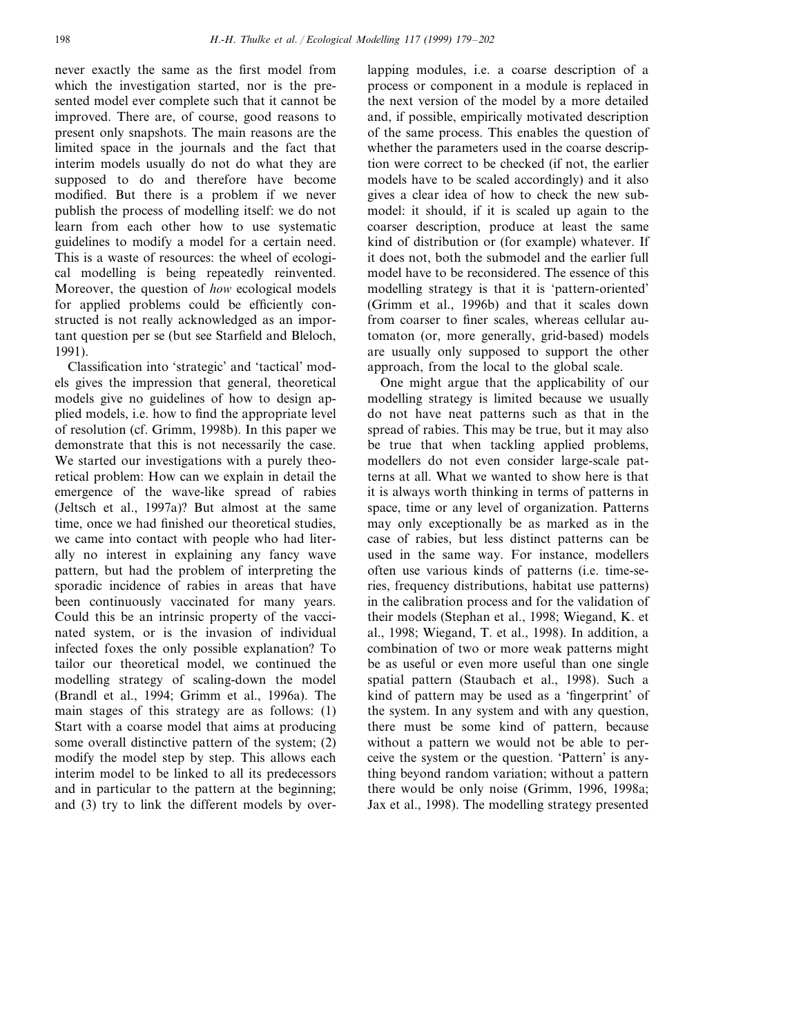never exactly the same as the first model from which the investigation started, nor is the presented model ever complete such that it cannot be improved. There are, of course, good reasons to present only snapshots. The main reasons are the limited space in the journals and the fact that interim models usually do not do what they are supposed to do and therefore have become modified. But there is a problem if we never publish the process of modelling itself: we do not learn from each other how to use systematic guidelines to modify a model for a certain need. This is a waste of resources: the wheel of ecological modelling is being repeatedly reinvented. Moreover, the question of *how* ecological models for applied problems could be efficiently constructed is not really acknowledged as an important question per se (but see Starfield and Bleloch, 1991).

Classification into 'strategic' and 'tactical' models gives the impression that general, theoretical models give no guidelines of how to design applied models, i.e. how to find the appropriate level of resolution (cf. Grimm, 1998b). In this paper we demonstrate that this is not necessarily the case. We started our investigations with a purely theoretical problem: How can we explain in detail the emergence of the wave-like spread of rabies (Jeltsch et al., 1997a)? But almost at the same time, once we had finished our theoretical studies, we came into contact with people who had literally no interest in explaining any fancy wave pattern, but had the problem of interpreting the sporadic incidence of rabies in areas that have been continuously vaccinated for many years. Could this be an intrinsic property of the vaccinated system, or is the invasion of individual infected foxes the only possible explanation? To tailor our theoretical model, we continued the modelling strategy of scaling-down the model (Brandl et al., 1994; Grimm et al., 1996a). The main stages of this strategy are as follows: (1) Start with a coarse model that aims at producing some overall distinctive pattern of the system; (2) modify the model step by step. This allows each interim model to be linked to all its predecessors and in particular to the pattern at the beginning; and (3) try to link the different models by overlapping modules, i.e. a coarse description of a process or component in a module is replaced in the next version of the model by a more detailed and, if possible, empirically motivated description of the same process. This enables the question of whether the parameters used in the coarse description were correct to be checked (if not, the earlier models have to be scaled accordingly) and it also gives a clear idea of how to check the new submodel: it should, if it is scaled up again to the coarser description, produce at least the same kind of distribution or (for example) whatever. If it does not, both the submodel and the earlier full model have to be reconsidered. The essence of this modelling strategy is that it is 'pattern-oriented' (Grimm et al., 1996b) and that it scales down from coarser to finer scales, whereas cellular automaton (or, more generally, grid-based) models are usually only supposed to support the other approach, from the local to the global scale.

One might argue that the applicability of our modelling strategy is limited because we usually do not have neat patterns such as that in the spread of rabies. This may be true, but it may also be true that when tackling applied problems, modellers do not even consider large-scale patterns at all. What we wanted to show here is that it is always worth thinking in terms of patterns in space, time or any level of organization. Patterns may only exceptionally be as marked as in the case of rabies, but less distinct patterns can be used in the same way. For instance, modellers often use various kinds of patterns (i.e. time-series, frequency distributions, habitat use patterns) in the calibration process and for the validation of their models (Stephan et al., 1998; Wiegand, K. et al., 1998; Wiegand, T. et al., 1998). In addition, a combination of two or more weak patterns might be as useful or even more useful than one single spatial pattern (Staubach et al., 1998). Such a kind of pattern may be used as a 'fingerprint' of the system. In any system and with any question, there must be some kind of pattern, because without a pattern we would not be able to perceive the system or the question. 'Pattern' is anything beyond random variation; without a pattern there would be only noise (Grimm, 1996, 1998a; Jax et al., 1998). The modelling strategy presented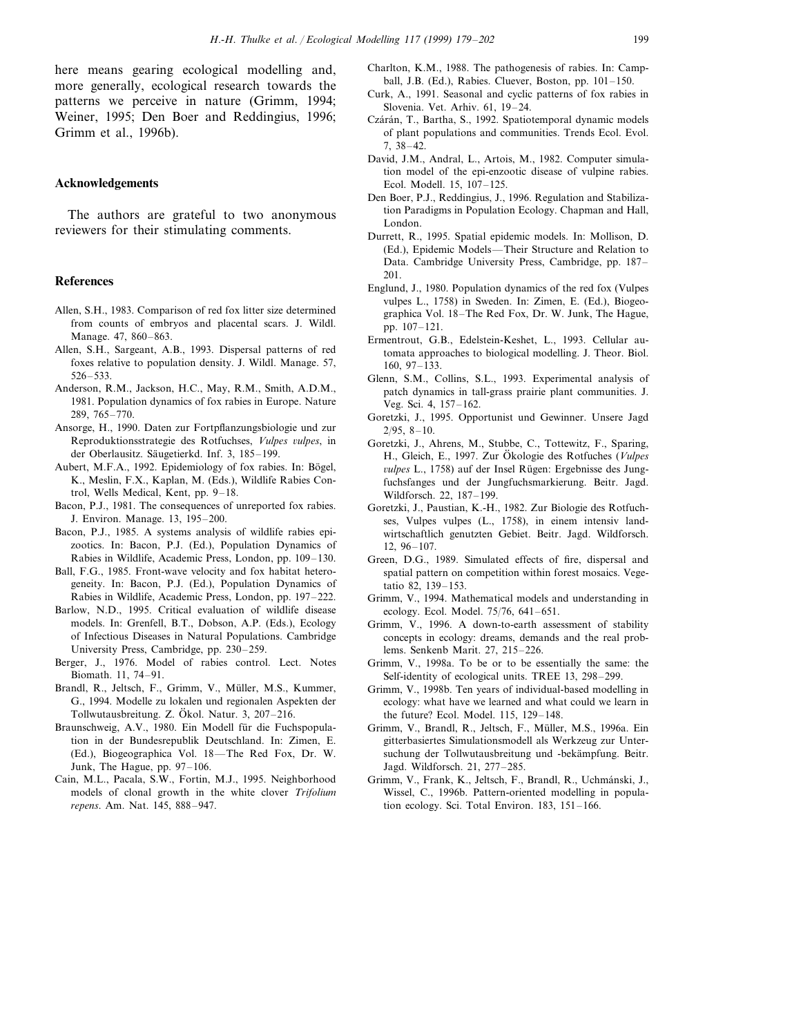here means gearing ecological modelling and, more generally, ecological research towards the patterns we perceive in nature (Grimm, 1994; Weiner, 1995; Den Boer and Reddingius, 1996; Grimm et al., 1996b).

### **Acknowledgements**

The authors are grateful to two anonymous reviewers for their stimulating comments.

#### **References**

- Allen, S.H., 1983. Comparison of red fox litter size determined from counts of embryos and placental scars. J. Wildl. Manage. 47, 860–863.
- Allen, S.H., Sargeant, A.B., 1993. Dispersal patterns of red foxes relative to population density. J. Wildl. Manage. 57, 526–533.
- Anderson, R.M., Jackson, H.C., May, R.M., Smith, A.D.M., 1981. Population dynamics of fox rabies in Europe. Nature 289, 765–770.
- Ansorge, H., 1990. Daten zur Fortpflanzungsbiologie und zur Reproduktionsstrategie des Rotfuchses, *Vulpes vulpes*, in der Oberlausitz. Säugetierkd. Inf. 3, 185–199.
- Aubert, M.F.A., 1992. Epidemiology of fox rabies. In: Bögel, K., Meslin, F.X., Kaplan, M. (Eds.), Wildlife Rabies Control, Wells Medical, Kent, pp. 9–18.
- Bacon, P.J., 1981. The consequences of unreported fox rabies. J. Environ. Manage. 13, 195–200.
- Bacon, P.J., 1985. A systems analysis of wildlife rabies epizootics. In: Bacon, P.J. (Ed.), Population Dynamics of Rabies in Wildlife, Academic Press, London, pp. 109–130.
- Ball, F.G., 1985. Front-wave velocity and fox habitat heterogeneity. In: Bacon, P.J. (Ed.), Population Dynamics of Rabies in Wildlife, Academic Press, London, pp. 197–222.
- Barlow, N.D., 1995. Critical evaluation of wildlife disease models. In: Grenfell, B.T., Dobson, A.P. (Eds.), Ecology of Infectious Diseases in Natural Populations. Cambridge University Press, Cambridge, pp. 230–259.
- Berger, J., 1976. Model of rabies control. Lect. Notes Biomath. 11, 74–91.
- Brandl, R., Jeltsch, F., Grimm, V., Müller, M.S., Kummer, G., 1994. Modelle zu lokalen und regionalen Aspekten der Tollwutausbreitung. Z. Ökol. Natur. 3, 207-216.
- Braunschweig, A.V., 1980. Ein Modell für die Fuchspopulation in der Bundesrepublik Deutschland. In: Zimen, E. (Ed.), Biogeographica Vol. 18—The Red Fox, Dr. W. Junk, The Hague, pp. 97–106.
- Cain, M.L., Pacala, S.W., Fortin, M.J., 1995. Neighborhood models of clonal growth in the white clover *Trifolium repens*. Am. Nat. 145, 888–947.
- Charlton, K.M., 1988. The pathogenesis of rabies. In: Campball, J.B. (Ed.), Rabies. Cluever, Boston, pp. 101–150.
- Curk, A., 1991. Seasonal and cyclic patterns of fox rabies in Slovenia. Vet. Arhiv. 61, 19–24.
- Czárán, T., Bartha, S., 1992. Spatiotemporal dynamic models of plant populations and communities. Trends Ecol. Evol. 7, 38–42.
- David, J.M., Andral, L., Artois, M., 1982. Computer simulation model of the epi-enzootic disease of vulpine rabies. Ecol. Modell. 15, 107–125.
- Den Boer, P.J., Reddingius, J., 1996. Regulation and Stabilization Paradigms in Population Ecology. Chapman and Hall, London.
- Durrett, R., 1995. Spatial epidemic models. In: Mollison, D. (Ed.), Epidemic Models—Their Structure and Relation to Data. Cambridge University Press, Cambridge, pp. 187– 201.
- Englund, J., 1980. Population dynamics of the red fox (Vulpes vulpes L., 1758) in Sweden. In: Zimen, E. (Ed.), Biogeographica Vol. 18–The Red Fox, Dr. W. Junk, The Hague, pp. 107–121.
- Ermentrout, G.B., Edelstein-Keshet, L., 1993. Cellular automata approaches to biological modelling. J. Theor. Biol. 160, 97–133.
- Glenn, S.M., Collins, S.L., 1993. Experimental analysis of patch dynamics in tall-grass prairie plant communities. J. Veg. Sci. 4, 157–162.
- Goretzki, J., 1995. Opportunist und Gewinner. Unsere Jagd 2/95, 8–10.
- Goretzki, J., Ahrens, M., Stubbe, C., Tottewitz, F., Sparing, H., Gleich, E., 1997. Zur Ökologie des Rotfuches (*Vulpes vulpes* L., 1758) auf der Insel Rügen: Ergebnisse des Jungfuchsfanges und der Jungfuchsmarkierung. Beitr. Jagd. Wildforsch. 22, 187–199.
- Goretzki, J., Paustian, K.-H., 1982. Zur Biologie des Rotfuchses, Vulpes vulpes (L., 1758), in einem intensiv landwirtschaftlich genutzten Gebiet. Beitr. Jagd. Wildforsch. 12, 96–107.
- Green, D.G., 1989. Simulated effects of fire, dispersal and spatial pattern on competition within forest mosaics. Vegetatio 82, 139–153.
- Grimm, V., 1994. Mathematical models and understanding in ecology. Ecol. Model. 75/76, 641–651.
- Grimm, V., 1996. A down-to-earth assessment of stability concepts in ecology: dreams, demands and the real problems. Senkenb Marit. 27, 215–226.
- Grimm, V., 1998a. To be or to be essentially the same: the Self-identity of ecological units. TREE 13, 298–299.
- Grimm, V., 1998b. Ten years of individual-based modelling in ecology: what have we learned and what could we learn in the future? Ecol. Model. 115, 129–148.
- Grimm, V., Brandl, R., Jeltsch, F., Müller, M.S., 1996a. Ein gitterbasiertes Simulationsmodell als Werkzeug zur Untersuchung der Tollwutausbreitung und -bekämpfung. Beitr. Jagd. Wildforsch. 21, 277–285.
- Grimm, V., Frank, K., Jeltsch, F., Brandl, R., Uchmánski, J., Wissel, C., 1996b. Pattern-oriented modelling in population ecology. Sci. Total Environ. 183, 151–166.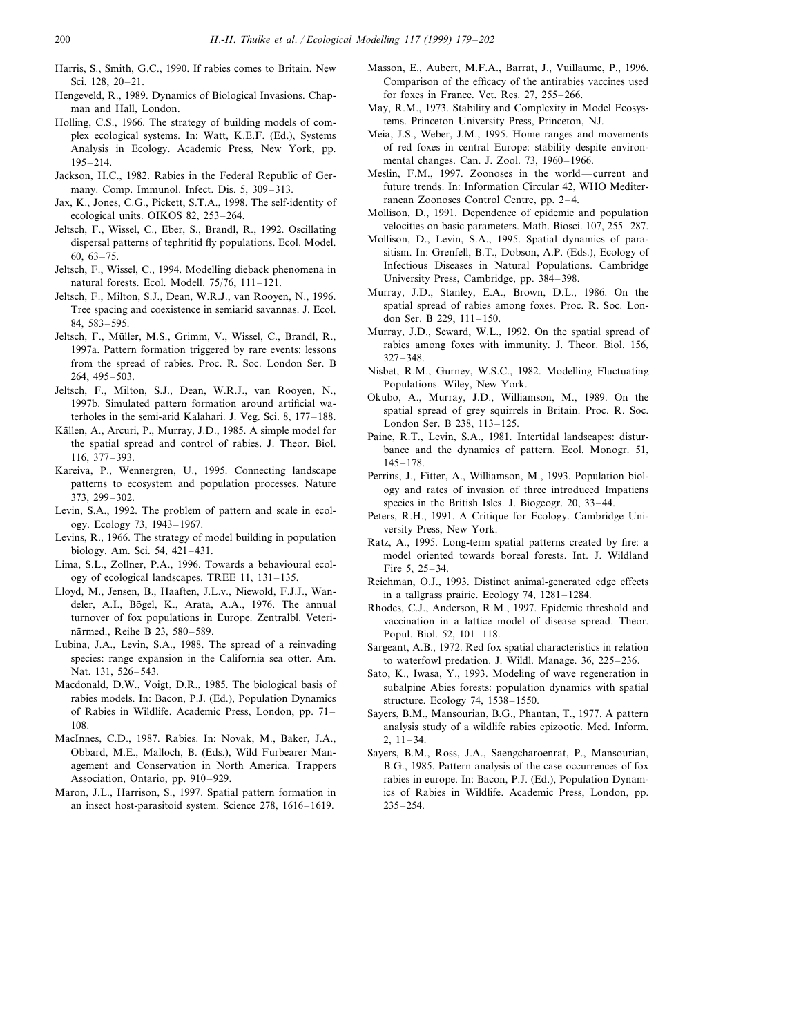- Harris, S., Smith, G.C., 1990. If rabies comes to Britain. New Sci. 128, 20–21.
- Hengeveld, R., 1989. Dynamics of Biological Invasions. Chapman and Hall, London.
- Holling, C.S., 1966. The strategy of building models of complex ecological systems. In: Watt, K.E.F. (Ed.), Systems Analysis in Ecology. Academic Press, New York, pp. 195–214.
- Jackson, H.C., 1982. Rabies in the Federal Republic of Germany. Comp. Immunol. Infect. Dis. 5, 309–313.
- Jax, K., Jones, C.G., Pickett, S.T.A., 1998. The self-identity of ecological units. OIKOS 82, 253–264.
- Jeltsch, F., Wissel, C., Eber, S., Brandl, R., 1992. Oscillating dispersal patterns of tephritid fly populations. Ecol. Model. 60, 63–75.
- Jeltsch, F., Wissel, C., 1994. Modelling dieback phenomena in natural forests. Ecol. Modell. 75/76, 111–121.
- Jeltsch, F., Milton, S.J., Dean, W.R.J., van Rooyen, N., 1996. Tree spacing and coexistence in semiarid savannas. J. Ecol. 84, 583–595.
- Jeltsch, F., Müller, M.S., Grimm, V., Wissel, C., Brandl, R., 1997a. Pattern formation triggered by rare events: lessons from the spread of rabies. Proc. R. Soc. London Ser. B 264, 495–503.
- Jeltsch, F., Milton, S.J., Dean, W.R.J., van Rooyen, N., 1997b. Simulated pattern formation around artificial waterholes in the semi-arid Kalahari. J. Veg. Sci. 8, 177–188.
- Källen, A., Arcuri, P., Murray, J.D., 1985. A simple model for the spatial spread and control of rabies. J. Theor. Biol. 116, 377–393.
- Kareiva, P., Wennergren, U., 1995. Connecting landscape patterns to ecosystem and population processes. Nature 373, 299–302.
- Levin, S.A., 1992. The problem of pattern and scale in ecology. Ecology 73, 1943–1967.
- Levins, R., 1966. The strategy of model building in population biology. Am. Sci. 54, 421–431.
- Lima, S.L., Zollner, P.A., 1996. Towards a behavioural ecology of ecological landscapes. TREE 11, 131–135.
- Lloyd, M., Jensen, B., Haaften, J.L.v., Niewold, F.J.J., Wandeler, A.I., Bögel, K., Arata, A.A., 1976. The annual turnover of fox populations in Europe. Zentralbl. Veterinärmed., Reihe B 23, 580–589.
- Lubina, J.A., Levin, S.A., 1988. The spread of a reinvading species: range expansion in the California sea otter. Am. Nat. 131, 526–543.
- Macdonald, D.W., Voigt, D.R., 1985. The biological basis of rabies models. In: Bacon, P.J. (Ed.), Population Dynamics of Rabies in Wildlife. Academic Press, London, pp. 71– 108.
- MacInnes, C.D., 1987. Rabies. In: Novak, M., Baker, J.A., Obbard, M.E., Malloch, B. (Eds.), Wild Furbearer Management and Conservation in North America. Trappers Association, Ontario, pp. 910–929.
- Maron, J.L., Harrison, S., 1997. Spatial pattern formation in an insect host-parasitoid system. Science 278, 1616–1619.
- Masson, E., Aubert, M.F.A., Barrat, J., Vuillaume, P., 1996. Comparison of the efficacy of the antirabies vaccines used for foxes in France. Vet. Res. 27, 255–266.
- May, R.M., 1973. Stability and Complexity in Model Ecosystems. Princeton University Press, Princeton, NJ.
- Meia, J.S., Weber, J.M., 1995. Home ranges and movements of red foxes in central Europe: stability despite environmental changes. Can. J. Zool. 73, 1960–1966.
- Meslin, F.M., 1997. Zoonoses in the world—current and future trends. In: Information Circular 42, WHO Mediterranean Zoonoses Control Centre, pp. 2–4.
- Mollison, D., 1991. Dependence of epidemic and population velocities on basic parameters. Math. Biosci. 107, 255–287.
- Mollison, D., Levin, S.A., 1995. Spatial dynamics of parasitism. In: Grenfell, B.T., Dobson, A.P. (Eds.), Ecology of Infectious Diseases in Natural Populations. Cambridge University Press, Cambridge, pp. 384–398.
- Murray, J.D., Stanley, E.A., Brown, D.L., 1986. On the spatial spread of rabies among foxes. Proc. R. Soc. London Ser. B 229, 111–150.
- Murray, J.D., Seward, W.L., 1992. On the spatial spread of rabies among foxes with immunity. J. Theor. Biol. 156, 327–348.
- Nisbet, R.M., Gurney, W.S.C., 1982. Modelling Fluctuating Populations. Wiley, New York.
- Okubo, A., Murray, J.D., Williamson, M., 1989. On the spatial spread of grey squirrels in Britain. Proc. R. Soc. London Ser. B 238, 113–125.
- Paine, R.T., Levin, S.A., 1981. Intertidal landscapes: disturbance and the dynamics of pattern. Ecol. Monogr. 51, 145–178.
- Perrins, J., Fitter, A., Williamson, M., 1993. Population biology and rates of invasion of three introduced Impatiens species in the British Isles. J. Biogeogr. 20, 33–44.
- Peters, R.H., 1991. A Critique for Ecology. Cambridge University Press, New York.
- Ratz, A., 1995. Long-term spatial patterns created by fire: a model oriented towards boreal forests. Int. J. Wildland Fire 5, 25–34.
- Reichman, O.J., 1993. Distinct animal-generated edge effects in a tallgrass prairie. Ecology 74, 1281–1284.
- Rhodes, C.J., Anderson, R.M., 1997. Epidemic threshold and vaccination in a lattice model of disease spread. Theor. Popul. Biol. 52, 101–118.
- Sargeant, A.B., 1972. Red fox spatial characteristics in relation to waterfowl predation. J. Wildl. Manage. 36, 225–236.
- Sato, K., Iwasa, Y., 1993. Modeling of wave regeneration in subalpine Abies forests: population dynamics with spatial structure. Ecology 74, 1538–1550.
- Sayers, B.M., Mansourian, B.G., Phantan, T., 1977. A pattern analysis study of a wildlife rabies epizootic. Med. Inform. 2, 11–34.
- Sayers, B.M., Ross, J.A., Saengcharoenrat, P., Mansourian, B.G., 1985. Pattern analysis of the case occurrences of fox rabies in europe. In: Bacon, P.J. (Ed.), Population Dynamics of Rabies in Wildlife. Academic Press, London, pp. 235–254.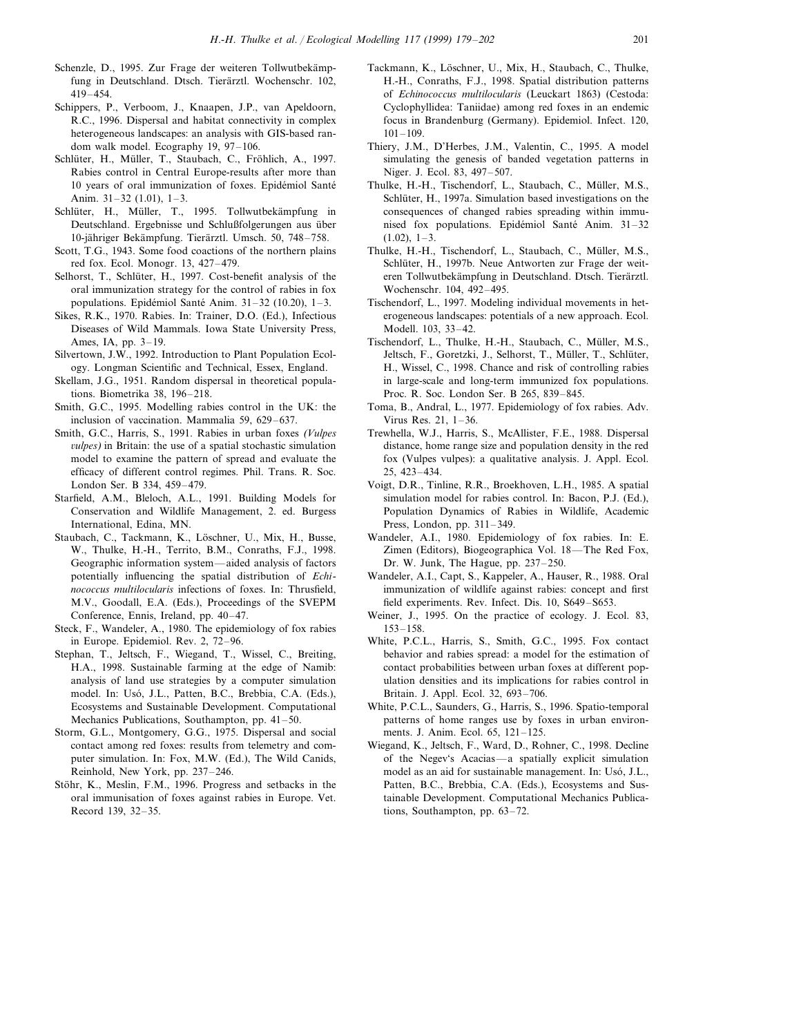- Schenzle, D., 1995. Zur Frage der weiteren Tollwutbekämpfung in Deutschland. Dtsch. Tierärztl. Wochenschr. 102, 419–454.
- Schippers, P., Verboom, J., Knaapen, J.P., van Apeldoorn, R.C., 1996. Dispersal and habitat connectivity in complex heterogeneous landscapes: an analysis with GIS-based random walk model. Ecography 19, 97–106.
- Schlüter, H., Müller, T., Staubach, C., Fröhlich, A., 1997. Rabies control in Central Europe-results after more than 10 years of oral immunization of foxes. Epidémiol Santé Anim. 31–32 (1.01), 1–3.
- Schlüter, H., Müller, T., 1995. Tollwutbekämpfung in Deutschland. Ergebnisse und Schlußfolgerungen aus über 10-jähriger Bekämpfung. Tierärztl. Umsch. 50, 748–758.
- Scott, T.G., 1943. Some food coactions of the northern plains red fox. Ecol. Monogr. 13, 427–479.
- Selhorst, T., Schlüter, H., 1997. Cost-benefit analysis of the oral immunization strategy for the control of rabies in fox populations. Epidémiol Santé Anim.  $31-32$  (10.20),  $1-3$ .
- Sikes, R.K., 1970. Rabies. In: Trainer, D.O. (Ed.), Infectious Diseases of Wild Mammals. Iowa State University Press, Ames, IA, pp. 3–19.
- Silvertown, J.W., 1992. Introduction to Plant Population Ecology. Longman Scientific and Technical, Essex, England.
- Skellam, J.G., 1951. Random dispersal in theoretical populations. Biometrika 38, 196–218.
- Smith, G.C., 1995. Modelling rabies control in the UK: the inclusion of vaccination. Mammalia 59, 629–637.
- Smith, G.C., Harris, S., 1991. Rabies in urban foxes (*Vulpes* 6*ulpes*) in Britain: the use of a spatial stochastic simulation model to examine the pattern of spread and evaluate the efficacy of different control regimes. Phil. Trans. R. Soc. London Ser. B 334, 459–479.
- Starfield, A.M., Bleloch, A.L., 1991. Building Models for Conservation and Wildlife Management, 2. ed. Burgess International, Edina, MN.
- Staubach, C., Tackmann, K., Löschner, U., Mix, H., Busse, W., Thulke, H.-H., Territo, B.M., Conraths, F.J., 1998. Geographic information system—aided analysis of factors potentially influencing the spatial distribution of *Echinococcus multilocularis* infections of foxes. In: Thrusfield, M.V., Goodall, E.A. (Eds.), Proceedings of the SVEPM Conference, Ennis, Ireland, pp. 40–47.
- Steck, F., Wandeler, A., 1980. The epidemiology of fox rabies in Europe. Epidemiol. Rev. 2, 72–96.
- Stephan, T., Jeltsch, F., Wiegand, T., Wissel, C., Breiting, H.A., 1998. Sustainable farming at the edge of Namib: analysis of land use strategies by a computer simulation model. In: Usó, J.L., Patten, B.C., Brebbia, C.A. (Eds.), Ecosystems and Sustainable Development. Computational Mechanics Publications, Southampton, pp. 41–50.
- Storm, G.L., Montgomery, G.G., 1975. Dispersal and social contact among red foxes: results from telemetry and computer simulation. In: Fox, M.W. (Ed.), The Wild Canids, Reinhold, New York, pp. 237–246.
- Stöhr, K., Meslin, F.M., 1996. Progress and setbacks in the oral immunisation of foxes against rabies in Europe. Vet. Record 139, 32–35.
- Tackmann, K., Löschner, U., Mix, H., Staubach, C., Thulke, H.-H., Conraths, F.J., 1998. Spatial distribution patterns of *Echinococcus multilocularis* (Leuckart 1863) (Cestoda: Cyclophyllidea: Taniidae) among red foxes in an endemic focus in Brandenburg (Germany). Epidemiol. Infect. 120, 101–109.
- Thiery, J.M., D'Herbes, J.M., Valentin, C., 1995. A model simulating the genesis of banded vegetation patterns in Niger. J. Ecol. 83, 497–507.
- Thulke, H.-H., Tischendorf, L., Staubach, C., Müller, M.S., Schlüter, H., 1997a. Simulation based investigations on the consequences of changed rabies spreading within immunised fox populations. Epidémiol Santé Anim.  $31-32$  $(1.02), 1-3.$
- Thulke, H.-H., Tischendorf, L., Staubach, C., Müller, M.S., Schlüter, H., 1997b. Neue Antworten zur Frage der weiteren Tollwutbekämpfung in Deutschland. Dtsch. Tierärztl. Wochenschr. 104, 492–495.
- Tischendorf, L., 1997. Modeling individual movements in heterogeneous landscapes: potentials of a new approach. Ecol. Modell. 103, 33–42.
- Tischendorf, L., Thulke, H.-H., Staubach, C., Müller, M.S., Jeltsch, F., Goretzki, J., Selhorst, T., Müller, T., Schlüter, H., Wissel, C., 1998. Chance and risk of controlling rabies in large-scale and long-term immunized fox populations. Proc. R. Soc. London Ser. B 265, 839–845.
- Toma, B., Andral, L., 1977. Epidemiology of fox rabies. Adv. Virus Res. 21, 1–36.
- Trewhella, W.J., Harris, S., McAllister, F.E., 1988. Dispersal distance, home range size and population density in the red fox (Vulpes vulpes): a qualitative analysis. J. Appl. Ecol. 25, 423–434.
- Voigt, D.R., Tinline, R.R., Broekhoven, L.H., 1985. A spatial simulation model for rabies control. In: Bacon, P.J. (Ed.), Population Dynamics of Rabies in Wildlife, Academic Press, London, pp. 311–349.
- Wandeler, A.I., 1980. Epidemiology of fox rabies. In: E. Zimen (Editors), Biogeographica Vol. 18—The Red Fox, Dr. W. Junk, The Hague, pp. 237–250.
- Wandeler, A.I., Capt, S., Kappeler, A., Hauser, R., 1988. Oral immunization of wildlife against rabies: concept and first field experiments. Rev. Infect. Dis. 10, S649–S653.
- Weiner, J., 1995. On the practice of ecology. J. Ecol. 83, 153–158.
- White, P.C.L., Harris, S., Smith, G.C., 1995. Fox contact behavior and rabies spread: a model for the estimation of contact probabilities between urban foxes at different population densities and its implications for rabies control in Britain. J. Appl. Ecol. 32, 693–706.
- White, P.C.L., Saunders, G., Harris, S., 1996. Spatio-temporal patterns of home ranges use by foxes in urban environments. J. Anim. Ecol. 65, 121–125.
- Wiegand, K., Jeltsch, F., Ward, D., Rohner, C., 1998. Decline of the Negev's Acacias—a spatially explicit simulation model as an aid for sustainable management. In: Usó, J.L., Patten, B.C., Brebbia, C.A. (Eds.), Ecosystems and Sustainable Development. Computational Mechanics Publications, Southampton, pp. 63–72.